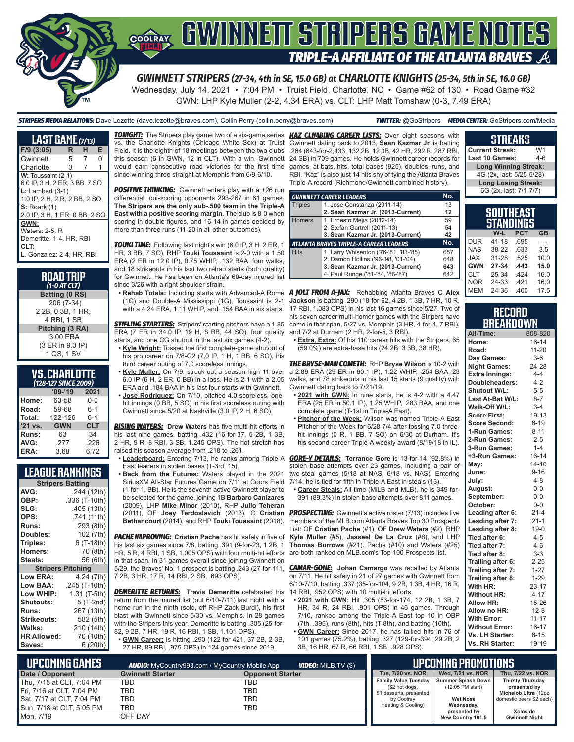

# COORAY GWINNEIT STRIPERS GAME NOTES TRIPLE-A AFFILIATE OF THE ATLANTA BRAVES  $\mathcal{A}$

*GWINNETT STRIPERS (27-34, 4th in SE, 15.0 GB) at CHARLOTTE KNIGHTS (25-34, 5th in SE, 16.0 GB)* Wednesday, July 14, 2021 • 7:04 PM • Truist Field, Charlotte, NC • Game #62 of 130 • Road Game #32 GWN: LHP Kyle Muller (2-2, 4.34 ERA) vs. CLT: LHP Matt Tomshaw (0-3, 7.49 ERA)

*STRIPERS MEDIA RELATIONS:* Dave Lezotte (dave.lezotte@braves.com), Collin Perry (collin.perry@braves.com) *TWITTER:* @GoStripers *MEDIA CENTER:* GoStripers.com/Media

| <b>LAST GAME</b> (7/13)                                                                |    |   |   |  |  |  |
|----------------------------------------------------------------------------------------|----|---|---|--|--|--|
| $F/9$ (3:05)                                                                           | R. | н | Е |  |  |  |
| Gwinnett                                                                               | 5  | 7 | O |  |  |  |
| Charlotte                                                                              | 3  | 7 | 1 |  |  |  |
| W: Toussaint (2-1)<br>6.0 IP, 3 H, 2 ER, 3 BB, 7 SO                                    |    |   |   |  |  |  |
| $L:$ Lambert $(3-1)$<br>1.0 IP, 2 H, 2 R, 2 BB, 2 SO                                   |    |   |   |  |  |  |
| <b>S:</b> Roark (1)<br>2.0 IP, 3 H, 1 ER, 0 BB, 2 SO                                   |    |   |   |  |  |  |
| GWN:<br>Waters: 2-5, R<br>Demeritte: 1-4, HR, RBI<br>CLT:<br>L. Gonzalez: 2-4. HR. RBI |    |   |   |  |  |  |

| ROAD TRIP<br>$(1-0 AT CLT)$ |
|-----------------------------|
| Batting (0 RS)              |
| $.206(7-34)$                |
| 2 2B, 0 3B, 1 HR,           |
| 4 RBI, 1 SB                 |
| Pitching (3 RA)             |
| 3.00 ERA                    |
| (3 ER in 9.0 IP)            |
| 1 QS, 1 SV                  |

#### **VS. CHARLOTTE**  *(128-127 SINCE 2009)*

| $'09-'19$  | 2021       |
|------------|------------|
| 63-58      | $0 - 0$    |
| 59-68      | $6 - 1$    |
| 122-126    | $6 - 1$    |
| <b>GWN</b> | <b>CLT</b> |
| 63         | 34         |
| .277       | .226       |
| 3.68       | 6.72       |
|            |            |

### **LEAGUE RANKINGS**

| <b>Stripers Batting</b>  |               |  |  |  |  |  |  |
|--------------------------|---------------|--|--|--|--|--|--|
| AVG:                     | .244 (12th)   |  |  |  |  |  |  |
| OBP:                     | .336 (T-10th) |  |  |  |  |  |  |
| SLG:                     | .405 (13th)   |  |  |  |  |  |  |
| OPS:                     | .741 (11th)   |  |  |  |  |  |  |
| <b>Runs:</b>             | 293 (8th)     |  |  |  |  |  |  |
| Doubles:                 | 102 (7th)     |  |  |  |  |  |  |
| Triples:                 | 6 (T-18th)    |  |  |  |  |  |  |
| <b>Homers:</b>           | 70 (8th)      |  |  |  |  |  |  |
| Steals:                  | 56 (6th)      |  |  |  |  |  |  |
| <b>Stripers Pitching</b> |               |  |  |  |  |  |  |
| <b>Low ERA:</b>          | 4.24 (7th)    |  |  |  |  |  |  |
| <b>Low BAA:</b>          | .245 (T-10th) |  |  |  |  |  |  |
| Low WHIP:                | 1.31 (T-5th)  |  |  |  |  |  |  |
| <b>Shutouts:</b>         | 5 (T-2nd)     |  |  |  |  |  |  |
| Runs:                    | 267 (13th)    |  |  |  |  |  |  |
| Strikeouts:              | 582 (5th)     |  |  |  |  |  |  |
| Walks:                   | 210 (14th)    |  |  |  |  |  |  |
| <b>HR Allowed:</b>       | 70 (10th)     |  |  |  |  |  |  |
| Saves:                   | 6 (20th)      |  |  |  |  |  |  |

vs. the Charlotte Knights (Chicago White Sox) at Truist Field. It is the eighth of 18 meetings between the two clubs this season (6 in GWN, 12 in CLT). With a win, Gwinnett would earn consecutive road victories for the first time since winning three straight at Memphis from 6/9-6/10.

**POSITIVE THINKING:** Gwinnett enters play with a +26 run differential, out-scoring opponents 293-267 in 61 games. **The Stripers are the only sub-.500 team in the Triple-A East with a positive scoring margin**. The club is 8-0 when scoring in double figures, and 16-14 in games decided by more than three runs (11-20 in all other outcomes).

*TOUKI TIME:* Following last night's win (6.0 IP, 3 H, 2 ER, 1 HR, 3 BB, 7 SO), RHP **Touki Toussaint** is 2-0 with a 1.50 ERA (2 ER in 12.0 IP), 0.75 WHIP, .132 BAA, four walks, and 18 strikeouts in his last two rehab starts (both quality) for Gwinnett. He has been on Atlanta's 60-day injured list since 3/26 with a right shoulder strain.

with a 4.24 ERA, 1.11 WHIP, and .154 BAA in six starts.

ERA (7 ER in 34.0 IP, 19 H, 8 BB, 44 SO), four quality starts, and one CG shutout in the last six games (4-2).

- **• Kyle Wright:** Tossed the first complete-game shutout of his pro career on 7/8-G2 (7.0 IP, 1 H, 1 BB, 6 SO), his third career outing of 7.0 scoreless innings.
- **• Kyle Muller:** On 7/9, struck out a season-high 11 over 6.0 IP (6 H, 2 ER, 0 BB) in a loss. He is 2-1 with a 2.05 ERA and .184 BAA in his last four starts with Gwinnett.
- **• Jose Rodriguez:** On 7/10, pitched 4.0 scoreless, onehit innings (0 BB, 5 SO) in his first scoreless outing with Gwinnett since 5/20 at Nashville (3.0 IP, 2 H, 6 SO).

*RISING WATERS:* **Drew Waters** has five multi-hit efforts in his last nine games, batting .432 (16-for-37, 5 2B, 1 3B, 2 HR, 9 R, 8 RBI, 3 SB, 1.245 OPS). The hot stretch has raised his season average from .218 to .261.

East leaders in stolen bases (T-3rd, 15).

**• Back from the Futures:** Waters played in the 2021 SiriusXM All-Star Futures Game on 7/11 at Coors Field (1-for-1, BB). He is the seventh active Gwinnett player to be selected for the game, joining 1B **Barbaro Canizares** (2009), LHP **Mike Minor** (2010), RHP **Julio Teheran Bethancourt** (2014), and RHP **Touki Toussaint** (2018).

*PACHE IMPROVING:* **Cristian Pache** has hit safely in five of his last six games since 7/8, batting .391 (9-for-23, 1 2B, 1 HR, 5 R, 4 RBI, 1 SB, 1.005 OPS) with four multi-hit efforts in that span. In 31 games overall since joining Gwinnett on 5/29, the Braves' No. 1 prospect is batting .243 (27-for-111, 7 2B, 3 HR, 17 R, 14 RBI, 2 SB, .693 OPS).

*DEMERITTE RETURNS:* **Travis Demeritte** celebrated his return from the injured list (out 6/10-7/11) last night with a home run in the ninth (solo, off RHP Zack Burdi), his first blast with Gwinnett since 5/30 vs. Memphis. In 28 games with the Stripers this year, Demeritte is batting .305 (25-for-82, 9 2B, 7 HR, 19 R, 16 RBI, 1 SB, 1.101 OPS).

**• GWN Career:** Is hitting .290 (122-for-421, 37 2B, 2 3B, 27 HR, 89 RBI, .975 OPS) in 124 games since 2019.

*TONIGHT:* The Stripers play game two of a six-game series *KAZ CLIMBING CAREER LISTS:* Over eight seasons with Gwinnett dating back to 2013, **Sean Kazmar Jr.** is batting .264 (643-for-2,433, 132 2B, 12 3B, 42 HR, 292 R, 287 RBI, 24 SB) in 709 games. He holds Gwinnett career records for games, at-bats, hits, total bases (925), doubles, runs, and RBI. "Kaz" is also just 14 hits shy of tying the Atlanta Braves Triple-A record (Richmond/Gwinnett combined history).

|                | <b>GWINNETT CAREER LEADERS</b>                | No. |
|----------------|-----------------------------------------------|-----|
| <b>Triples</b> | 1. Jose Constanza (2011-14)                   | 13  |
|                | 2. Sean Kazmar Jr. (2013-Current)             | 12  |
| <b>Homers</b>  | 1. Ernesto Mejia (2012-14)                    | 59  |
|                | 2. Stefan Gartrell (2011-13)                  | 54  |
|                | 3. Sean Kazmar Jr. (2013-Current)             | 42  |
|                | <b>ATLANTA BRAVES TRIPLE-A CAREER LEADERS</b> | No. |
| <b>Hits</b>    | 1. Larry Whisenton ('76-'81, '83-'85)         | 657 |
|                | 2. Damon Hollins ('96-'98, '01-'04)           | 648 |
|                | 3. Sean Kazmar Jr. (2013-Current)             | 643 |
|                | 4. Paul Runge ('81-'84, '86-'87)              | 642 |

**• Rehab Totals:** Including starts with Advanced-A Rome *A JOLT FROM A-JAX:* Rehabbing Atlanta Braves C **Alex**  (1G) and Double-A Mississippi (1G), Toussaint is 2-1 **Jackson** is batting .290 (18-for-62, 4 2B, 1 3B, 7 HR, 10 R, *STIFLING STARTERS:* Stripers' starting pitchers have a 1.85 come in that span, 5/27 vs. Memphis (3 HR, 4-for-4, 7 RBI), 17 RBI, 1.083 OPS) in his last 16 games since 5/27. Two of his seven career multi-homer games with the Stripers have and 7/2 at Durham (2 HR, 2-for-5, 3 RBI).

**• Extra, Extra:** Of his 110 career hits with the Stripers, 65 (59.0%) are extra-base hits (24 2B, 3 3B, 38 HR).

*THE BRYSE-MAN COMETH:* RHP **Bryse Wilson** is 10-2 with a 2.89 ERA (29 ER in 90.1 IP), 1.22 WHIP, .254 BAA, 23 walks, and 78 strikeouts in his last 15 starts (9 quality) with Gwinnett dating back to 7/21/19.

- **• 2021 with GWN:** In nine starts, he is 4-2 with a 4.47 ERA (25 ER in 50.1 IP), 1.25 WHIP, .283 BAA, and one complete game (T-1st in Triple-A East).
- **• Pitcher of the Week:** Wilson was named Triple-A East Pitcher of the Week for 6/28-7/4 after tossing 7.0 threehit innings (0 R, 1 BB, 7 SO) on 6/30 at Durham. It's his second career Triple-A weekly award (8/19/18 in IL).

**• Leaderboard:** Entering 7/13, he ranks among Triple-A *GORE-Y DETAILS:* **Terrance Gore** is 13-for-14 (92.8%) in stolen base attempts over 23 games, including a pair of two-steal games (5/18 at NAS, 6/18 vs. NAS). Entering 7/14, he is tied for fifth in Triple-A East in steals (13).

**• Career Steals:** All-time (MiLB and MLB), he is 349-for-391 (89.3%) in stolen base attempts over 811 games.

(2011), OF **Joey Terdoslavich** (2013), C **Cristian**  *PROSPECTING:* Gwinnett's active roster (7/13) includes five members of the MLB.com Atlanta Braves Top 30 Prospects List: OF **Cristian Pache** (#1), OF **Drew Waters** (#2), RHP **Kyle Muller** (#5), **Jasseel De La Cruz** (#8), and LHP **Thomas Burrows** (#21). Pache (#10) and Waters (#25) are both ranked on MLB.com's Top 100 Prospects list.

> *CAMAR-GONE:* **Johan Camargo** was recalled by Atlanta on 7/11. He hit safely in 21 of 27 games with Gwinnett from 6/10-7/10, batting .337 (35-for-104, 9 2B, 1 3B, 4 HR, 16 R, 14 RBI, .952 OPS) with 10 multi-hit efforts.

- **• 2021 with GWN:** Hit .305 (53-for-174, 12 2B, 1 3B, 7 HR, 34 R, 24 RBI, .901 OPS) in 46 games. Through 7/10, ranked among the Triple-A East top 10 in OBP (7th, .395), runs (8th), hits (T-8th), and batting (10th).
- **• GWN Career:** Since 2017, he has tallied hits in 76 of 101 games (75.2%), batting .327 (129-for-394, 29 2B, 2 3B, 16 HR, 67 R, 66 RBI, 1 SB, .928 OPS).

#### **STREAKS Current Streak:** W1

Last 10 Games: **Long Winning Streak:** 4G (2x, last: 5/25-5/28) **Long Losing Streak:** 6G (2x, last: 7/1-7/7)

|            | <b>SOUTHEAST</b><br><b>STANDINGS</b> |            |                 |
|------------|--------------------------------------|------------|-----------------|
|            | W-L                                  | <b>PCT</b> | <b>GB</b>       |
| <b>DUR</b> | $41 - 18$                            | .695       | ---             |
| <b>NAS</b> | 38-22                                | .633       | 3.5             |
| JAX        | 31-28                                | .525       | 10 <sub>c</sub> |

| <b>NAS</b> | 38-22 | .633 | 3.5  |
|------------|-------|------|------|
| <b>JAX</b> | 31-28 | .525 | 10.0 |
| <b>GWN</b> | 27-34 | .443 | 15.0 |
| <b>CLT</b> | 25-34 | 424  | 16.0 |
| <b>NOR</b> | 24-33 | .421 | 16.0 |
| <b>MFM</b> | 24-36 | .400 | 17.5 |
|            |       |      |      |

#### **RECORD BREAKDOWN**

| All-Time:             | 808-820   |
|-----------------------|-----------|
| Home:                 | $16 - 14$ |
| Road:                 | $11 - 20$ |
| Day Games:            | $3-6$     |
| <b>Night Games:</b>   | 24-28     |
| Extra Innings:        | $4 - 4$   |
| Doubleheaders:        | $4 - 2$   |
| Shutout W/L:          | $5-5$     |
| Last At-Bat W/L:      | $8 - 7$   |
| Walk-Off W/L:         | $3 - 4$   |
| <b>Score First:</b>   | 19-13     |
| Score Second:         | $8 - 19$  |
| 1-Run Games:          | $8 - 11$  |
| 2-Run Games:          | $2 - 5$   |
| 3-Run Games:          | $1 - 4$   |
| +3-Run Games:         | $16 - 14$ |
| May:                  | $14 - 10$ |
| June:                 | $9 - 16$  |
| July:                 | $4 - 8$   |
| August:               | $0-0$     |
| September:            | $0-0$     |
| October:              | $0-0$     |
| Leading after 6:      | $21 - 4$  |
| Leading after 7:      | $21 - 1$  |
| Leading after 8:      | $19-0$    |
| Tied after 6:         | $4 - 5$   |
| Tied after 7:         | $4 - 6$   |
| Tied after 8:         | $3 - 3$   |
| Trailing after 6:     | $2 - 25$  |
| Trailing after 7:     | $1 - 27$  |
| Trailing after 8:     | $1 - 29$  |
| With HR:              | $23 - 17$ |
| <b>Without HR:</b>    | $4 - 17$  |
| Allow HR:             | 15-26     |
| Allow no HR:          | $12 - 8$  |
| With Error:           | $11 - 17$ |
| <b>Without Error:</b> | $16 - 17$ |
| Vs. LH Starter:       | $8 - 15$  |
| Vs. RH Starter:       | 19-19     |

| NUPCOMING GAMES           |                         | <b>VIDEO:</b> MiLB.TV (\$)<br><b>AUDIO:</b> MyCountry993.com / MyCountry Mobile App |                                           | <b>UPCOMING PROMOTIONS</b>                |                                      |
|---------------------------|-------------------------|-------------------------------------------------------------------------------------|-------------------------------------------|-------------------------------------------|--------------------------------------|
| Date / Opponent           | <b>Gwinnett Starter</b> | <b>Opponent Starter</b>                                                             | Tue, 7/20 vs. NOR                         | Wed. 7/21 vs. NOR                         | Thu, 7/22 vs. NOR                    |
| Thu. 7/15 at CLT. 7:04 PM | TBD                     | TBD                                                                                 |                                           | Family Value Tuesday   Summer Splash Down | Thirsty Thursday,                    |
| Fri. 7/16 at CLT. 7:04 PM | TBD                     | TBD                                                                                 | (\$2 hot dogs,<br>\$1 desserts, presented | (12:05 PM start)                          | presented by<br>Michelob Ultra (12oz |
| Sat, 7/17 at CLT, 7:04 PM | TBD                     | TBD                                                                                 | by Coolray                                | <b>Wet Nose</b>                           | domestic beers \$2 each)             |
| Sun, 7/18 at CLT, 5:05 PM | TBD                     | TBD                                                                                 | Heating & Cooling)                        | Wednesday,                                |                                      |
| Mon. 7/19                 | OFF DAY                 |                                                                                     |                                           | presented by<br>New Country 101.5         | Xolos de<br><b>Gwinnett Night</b>    |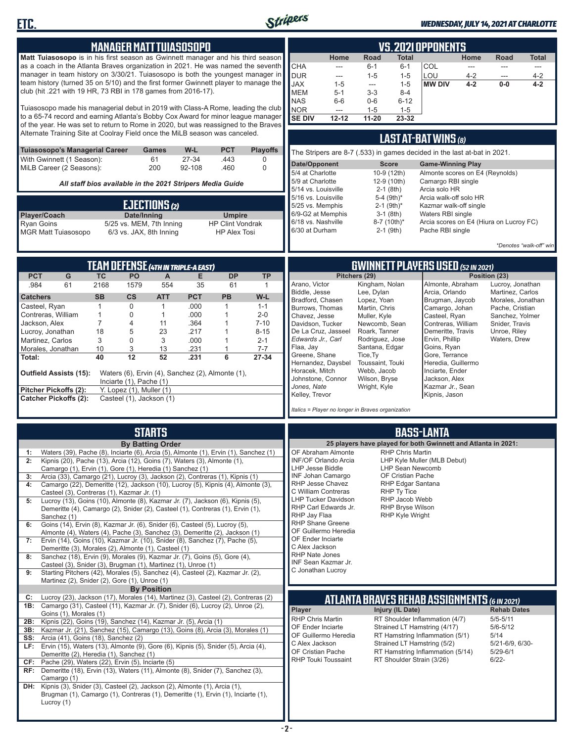

#### *WEDNESDAY, JULY 14, 2021 AT CHARLOTTE*

|                                                                                                                                                                        | <b>MANAGER MATT TUIASOSOPO</b>                            |                         |                 |                                                |                     | <b>VS. 2021 OPPONENTS</b>               |                                                    |                                                   |                                              |                                                                          |                          |                                       |                         |
|------------------------------------------------------------------------------------------------------------------------------------------------------------------------|-----------------------------------------------------------|-------------------------|-----------------|------------------------------------------------|---------------------|-----------------------------------------|----------------------------------------------------|---------------------------------------------------|----------------------------------------------|--------------------------------------------------------------------------|--------------------------|---------------------------------------|-------------------------|
| Matt Tuiasosopo is in his first season as Gwinnett manager and his third season                                                                                        |                                                           |                         |                 |                                                |                     |                                         | Home                                               | Road                                              | <b>Total</b>                                 |                                                                          | Home                     | Road                                  | <b>Total</b>            |
| as a coach in the Atlanta Braves organization in 2021. He was named the seventh                                                                                        |                                                           |                         |                 |                                                |                     | <b>CHA</b>                              | ---                                                | $6 - 1$                                           | $6 - 1$                                      | COL                                                                      | $\overline{\phantom{a}}$ | $---$                                 | $\cdots$                |
| manager in team history on 3/30/21. Tuiasosopo is both the youngest manager in<br>team history (turned 35 on 5/10) and the first former Gwinnett player to manage the  |                                                           |                         |                 |                                                |                     | <b>DUR</b>                              | ---                                                | $1 - 5$                                           | $1 - 5$                                      | LOU                                                                      | $4 - 2$                  | $\overline{a}$                        | $4 - 2$                 |
| club (hit .221 with 19 HR, 73 RBI in 178 games from 2016-17).                                                                                                          |                                                           |                         |                 |                                                |                     | <b>JAX</b><br><b>MEM</b>                | $1 - 5$<br>$5-1$                                   | ---<br>$3-3$                                      | $1 - 5$<br>$8 - 4$                           | <b>MW DIV</b>                                                            | $4 - 2$                  | $0-0$                                 | $4 - 2$                 |
|                                                                                                                                                                        |                                                           |                         |                 |                                                |                     | <b>NAS</b>                              | $6-6$                                              | $0-6$                                             | $6 - 12$                                     |                                                                          |                          |                                       |                         |
| Tuiasosopo made his managerial debut in 2019 with Class-A Rome, leading the club                                                                                       |                                                           |                         |                 |                                                |                     | <b>NOR</b>                              | $\frac{1}{2}$                                      | $1 - 5$                                           | $1 - 5$                                      |                                                                          |                          |                                       |                         |
| to a 65-74 record and earning Atlanta's Bobby Cox Award for minor league manager                                                                                       |                                                           |                         |                 |                                                |                     | <b>SE DIV</b>                           | $12 - 12$                                          | $11 - 20$                                         | 23-32                                        |                                                                          |                          |                                       |                         |
| of the year. He was set to return to Rome in 2020, but was reassigned to the Braves<br>Alternate Training Site at Coolray Field once the MiLB season was canceled.     |                                                           |                         |                 |                                                |                     |                                         |                                                    |                                                   |                                              |                                                                          |                          |                                       |                         |
|                                                                                                                                                                        |                                                           |                         |                 |                                                |                     |                                         |                                                    |                                                   |                                              | <b>LAST AT-BAT WINS (8)</b>                                              |                          |                                       |                         |
| <b>Tuiasosopo's Managerial Career</b>                                                                                                                                  |                                                           | Games                   | W-L             | <b>PCT</b>                                     | <b>Playoffs</b>     |                                         |                                                    |                                                   |                                              | The Stripers are 8-7 (.533) in games decided in the last at-bat in 2021. |                          |                                       |                         |
| With Gwinnett (1 Season):<br>MiLB Career (2 Seasons):                                                                                                                  |                                                           | 61<br>200               | 27-34<br>92-108 | .443<br>.460                                   | 0<br>0              | Date/Opponent                           |                                                    |                                                   | <b>Score</b>                                 | <b>Game-Winning Play</b>                                                 |                          |                                       |                         |
|                                                                                                                                                                        |                                                           |                         |                 |                                                |                     | 5/4 at Charlotte                        |                                                    |                                                   | 10-9 (12th)                                  | Almonte scores on E4 (Reynolds)                                          |                          |                                       |                         |
|                                                                                                                                                                        | All staff bios available in the 2021 Stripers Media Guide |                         |                 |                                                |                     | 5/9 at Charlotte<br>5/14 vs. Louisville |                                                    |                                                   | 12-9 (10th)<br>$2-1$ (8th)                   | Camargo RBI single<br>Arcia solo HR                                      |                          |                                       |                         |
|                                                                                                                                                                        |                                                           |                         |                 |                                                |                     | 5/16 vs. Louisville                     |                                                    |                                                   | 5-4 (9th)*                                   | Arcia walk-off solo HR                                                   |                          |                                       |                         |
|                                                                                                                                                                        |                                                           | EJECTIONS (2)           |                 |                                                |                     | 5/25 vs. Memphis                        |                                                    |                                                   | $2-1$ (9th) <sup>*</sup>                     | Kazmar walk-off single                                                   |                          |                                       |                         |
| Player/Coach                                                                                                                                                           | Date/Inning                                               |                         |                 | <b>Umpire</b>                                  |                     | 6/9-G2 at Memphis<br>6/18 vs. Nashville |                                                    |                                                   | $3-1$ (8th)                                  | Waters RBI single                                                        |                          |                                       |                         |
| Ryan Goins<br><b>MGR Matt Tuiasosopo</b>                                                                                                                               | 5/25 vs. MEM, 7th Inning<br>6/3 vs. JAX, 8th Inning       |                         |                 | <b>HP Clint Vondrak</b><br><b>HP Alex Tosi</b> |                     | 6/30 at Durham                          |                                                    |                                                   | 8-7 (10th)*<br>$2-1$ (9th)                   | Arcia scores on E4 (Hiura on Lucroy FC)<br>Pache RBI single              |                          |                                       |                         |
|                                                                                                                                                                        |                                                           |                         |                 |                                                |                     |                                         |                                                    |                                                   |                                              |                                                                          |                          |                                       |                         |
|                                                                                                                                                                        |                                                           |                         |                 |                                                |                     |                                         |                                                    |                                                   |                                              |                                                                          |                          |                                       | *Denotes "walk-off" win |
|                                                                                                                                                                        | <b>TEAM DEFENSE (4TH IN TRIPLE-A EAST)</b>                |                         |                 |                                                |                     |                                         |                                                    |                                                   |                                              | <b>GWINNETT PLAYERS USED (52 IN 2021)</b>                                |                          |                                       |                         |
| <b>PCT</b><br>G                                                                                                                                                        | <b>TC</b><br>PO                                           | A                       | Е               | <b>DP</b>                                      | <b>TP</b>           |                                         |                                                    | Pitchers (29)                                     |                                              |                                                                          |                          | Position (23)                         |                         |
| .984<br>61                                                                                                                                                             | 2168<br>1579                                              | 554                     | 35              | 61                                             | $\mathbf{1}$        | Arano, Victor                           |                                                    | Kingham, Nolan                                    |                                              | Almonte, Abraham                                                         |                          | Lucroy, Jonathan                      |                         |
| <b>Catchers</b>                                                                                                                                                        | <b>SB</b><br>$\mathsf{cs}$                                | <b>ATT</b>              | <b>PCT</b>      | <b>PB</b>                                      | W-L                 | Biddle, Jesse<br>Bradford, Chasen       |                                                    | Lee, Dylan                                        |                                              | Arcia, Orlando<br>Brugman, Jaycob                                        |                          | Martinez, Carlos<br>Morales, Jonathan |                         |
| Casteel, Ryan                                                                                                                                                          | $\mathbf{1}$<br>0                                         | $\mathbf{1}$            | .000            | $\mathbf{1}$                                   | $1 - 1$             | Burrows, Thomas                         |                                                    | Lopez, Yoan<br>Martin, Chris                      |                                              | Camargo, Johan                                                           |                          | Pache, Cristian                       |                         |
| Contreras, William                                                                                                                                                     | $\mathbf{1}$<br>0                                         | $\mathbf{1}$            | .000            | $\mathbf{1}$                                   | $2 - 0$             | Chavez, Jesse                           |                                                    | Muller, Kyle                                      |                                              | Casteel, Ryan                                                            |                          | Sanchez, Yolmer                       |                         |
| Jackson, Alex                                                                                                                                                          | 7<br>4                                                    | 11                      | .364            | $\mathbf{1}$                                   | $7 - 10$            | Davidson, Tucker                        | De La Cruz, Jasseel                                | Newcomb, Sean<br>Roark, Tanner                    |                                              | Contreras, William<br>Demeritte, Travis                                  |                          | Snider, Travis<br>Unroe, Riley        |                         |
| Lucroy, Jonathan<br>Martinez, Carlos                                                                                                                                   | 5<br>18<br>3<br>0                                         | 23<br>3                 | .217<br>.000    | 1<br>$\mathbf{1}$                              | $8 - 15$<br>$2 - 1$ | Edwards Jr., Carl                       |                                                    | Rodriguez, Jose                                   |                                              | Ervin, Phillip                                                           |                          | Waters, Drew                          |                         |
| Morales, Jonathan                                                                                                                                                      | 3<br>10                                                   | 13                      | .231            | 1                                              | $7 - 7$             | Flaa, Jay                               |                                                    | Santana, Edgar                                    |                                              | Goins, Ryan                                                              |                          |                                       |                         |
| Total:                                                                                                                                                                 | 40<br>12                                                  | 52                      | .231            | 6                                              | 27-34               | Greene, Shane                           | Hernandez, Daysbel                                 | Tice, Ty<br>Toussaint, Touki                      |                                              | Gore, Terrance<br>Heredia, Guillermo                                     |                          |                                       |                         |
| <b>Outfield Assists (15):</b>                                                                                                                                          | Waters (6), Ervin (4), Sanchez (2), Almonte (1),          |                         |                 |                                                |                     | Horacek, Mitch                          |                                                    | Webb, Jacob                                       |                                              | Inciarte, Ender                                                          |                          |                                       |                         |
|                                                                                                                                                                        | Inciarte $(1)$ , Pache $(1)$                              |                         |                 |                                                |                     | Johnstone, Connor                       |                                                    | Wilson, Bryse                                     |                                              | Jackson, Alex                                                            |                          |                                       |                         |
| Pitcher Pickoffs (2):                                                                                                                                                  | Y. Lopez (1), Muller (1)                                  |                         |                 |                                                |                     | Jones, Nate<br>Kelley, Trevor           |                                                    | Wright, Kyle                                      |                                              | Kazmar Jr., Sean<br>Kipnis, Jason                                        |                          |                                       |                         |
| <b>Catcher Pickoffs (2):</b>                                                                                                                                           | Casteel (1), Jackson (1)                                  |                         |                 |                                                |                     |                                         |                                                    |                                                   |                                              |                                                                          |                          |                                       |                         |
|                                                                                                                                                                        |                                                           |                         |                 |                                                |                     |                                         |                                                    | Italics = Player no longer in Braves organization |                                              |                                                                          |                          |                                       |                         |
|                                                                                                                                                                        |                                                           | <b>STARTS</b>           |                 |                                                |                     |                                         |                                                    |                                                   |                                              | <b>BASS-LANTA</b>                                                        |                          |                                       |                         |
|                                                                                                                                                                        |                                                           | <b>By Batting Order</b> |                 |                                                |                     |                                         |                                                    |                                                   |                                              | 25 players have played for both Gwinnett and Atlanta in 2021:            |                          |                                       |                         |
| Waters (39), Pache (8), Inciarte (6), Arcia (5), Almonte (1), Ervin (1), Sanchez (1)<br>1:                                                                             |                                                           |                         |                 |                                                |                     |                                         | OF Abraham Almonte                                 |                                                   | <b>RHP Chris Martin</b>                      |                                                                          |                          |                                       |                         |
| Kipnis (20), Pache (13), Arcia (12), Goins (7), Waters (3), Almonte (1),                                                                                               |                                                           |                         |                 |                                                |                     |                                         | INF/OF Orlando Arcia                               |                                                   |                                              | LHP Kyle Muller (MLB Debut)                                              |                          |                                       |                         |
| Camargo (1), Ervin (1), Gore (1), Heredia (1) Sanchez (1)<br>Arcia (33), Camargo (21), Lucroy (3), Jackson (2), Contreras (1), Kipnis (1)<br>3:                        |                                                           |                         |                 |                                                |                     | LHP Jesse Biddle                        | <b>INF Johan Camargo</b>                           |                                                   | <b>LHP Sean Newcomb</b><br>OF Cristian Pache |                                                                          |                          |                                       |                         |
| Camargo (22), Demeritte (12), Jackson (10), Lucroy (5), Kipnis (4), Almonte (3),<br>4:                                                                                 |                                                           |                         |                 |                                                |                     | RHP Jesse Chavez                        |                                                    |                                                   | RHP Edgar Santana                            |                                                                          |                          |                                       |                         |
| Casteel (3), Contreras (1), Kazmar Jr. (1)                                                                                                                             |                                                           |                         |                 |                                                |                     | C William Contreras                     |                                                    |                                                   | RHP Ty Tice                                  |                                                                          |                          |                                       |                         |
| Lucroy (13), Goins (10), Almonte (8), Kazmar Jr. (7), Jackson (6), Kipnis (5),<br>5:<br>Demeritte (4), Camargo (2), Snider (2), Casteel (1), Contreras (1), Ervin (1), |                                                           |                         |                 |                                                |                     |                                         | <b>LHP Tucker Davidson</b><br>RHP Carl Edwards Jr. |                                                   | RHP Jacob Webb<br>RHP Bryse Wilson           |                                                                          |                          |                                       |                         |
| Sanchez (1)                                                                                                                                                            |                                                           |                         |                 |                                                |                     | RHP Jay Flaa                            |                                                    |                                                   | <b>RHP Kyle Wright</b>                       |                                                                          |                          |                                       |                         |
| Goins (14), Ervin (8), Kazmar Jr. (6), Snider (6), Casteel (5), Lucroy (5),<br>6:                                                                                      |                                                           |                         |                 |                                                |                     | <b>RHP Shane Greene</b>                 |                                                    |                                                   |                                              |                                                                          |                          |                                       |                         |
| Almonte (4), Waters (4), Pache (3), Sanchez (3), Demeritte (2), Jackson (1)<br>7: Ervin (14), Goins (10), Kazmar Jr. (10), Snider (8), Sanchez (7), Pache (5),         |                                                           |                         |                 |                                                |                     | OF Ender Inciarte                       | OF Guillermo Heredia                               |                                                   |                                              |                                                                          |                          |                                       |                         |
| Demeritte (3), Morales (2), Almonte (1), Casteel (1)                                                                                                                   |                                                           |                         |                 |                                                |                     | C Alex Jackson                          |                                                    |                                                   |                                              |                                                                          |                          |                                       |                         |
| Sanchez (18), Ervin (9), Morales (9), Kazmar Jr. (7), Goins (5), Gore (4),<br>8:                                                                                       |                                                           |                         |                 |                                                |                     | <b>RHP Nate Jones</b>                   |                                                    |                                                   |                                              |                                                                          |                          |                                       |                         |
| Casteel (3), Snider (3), Brugman (1), Martinez (1), Unroe (1)<br>Starting Pitchers (42), Morales (5), Sanchez (4), Casteel (2), Kazmar Jr. (2),                        |                                                           |                         |                 |                                                |                     | C Jonathan Lucroy                       | INF Sean Kazmar Jr.                                |                                                   |                                              |                                                                          |                          |                                       |                         |
| 9:<br>Martinez (2), Snider (2), Gore (1), Unroe (1)                                                                                                                    |                                                           |                         |                 |                                                |                     |                                         |                                                    |                                                   |                                              |                                                                          |                          |                                       |                         |
|                                                                                                                                                                        |                                                           | <b>By Position</b>      |                 |                                                |                     |                                         |                                                    |                                                   |                                              |                                                                          |                          |                                       |                         |
| Lucroy (23), Jackson (17), Morales (14), Martinez (3), Casteel (2), Contreras (2)<br>C:                                                                                |                                                           |                         |                 |                                                |                     |                                         |                                                    |                                                   |                                              | ATLANTA BRAVES REHAB ASSIGNMENTS (6 IN 2021)                             |                          |                                       |                         |
| 1B: Camargo (31), Casteel (11), Kazmar Jr. (7), Snider (6), Lucroy (2), Unroe (2),<br>Goins (1), Morales (1)                                                           |                                                           |                         |                 |                                                |                     | Player                                  |                                                    |                                                   | Injury (IL Date)                             |                                                                          |                          | <b>Rehab Dates</b>                    |                         |
| Kipnis (22), Goins (19), Sanchez (14), Kazmar Jr. (5), Arcia (1)<br>2B:                                                                                                |                                                           |                         |                 |                                                |                     | RHP Chris Martin                        |                                                    |                                                   |                                              | RT Shoulder Inflammation (4/7)                                           |                          | $5/5 - 5/11$                          |                         |
| <b>3B:</b> Kazmar Jr. (21), Sanchez (15), Camargo (13), Goins (8), Arcia (3), Morales (1)                                                                              |                                                           |                         |                 |                                                |                     | OF Ender Inciarte                       | OF Guillermo Heredia                               |                                                   |                                              | Strained LT Hamstring (4/17)                                             |                          | $5/6 - 5/12$                          |                         |
| <b>SS:</b> Arcia (41), Goins (18), Sanchez (2)                                                                                                                         |                                                           |                         |                 |                                                |                     | C Alex Jackson                          |                                                    |                                                   |                                              | RT Hamstring Inflammation (5/1)<br>Strained LT Hamstring (5/2)           |                          | 5/14<br>5/21-6/9, 6/30-               |                         |
| LF: Ervin (15), Waters (13), Almonte (9), Gore (6), Kipnis (5), Snider (5), Arcia (4),<br>Demeritte (2), Heredia (1), Sanchez (1)                                      |                                                           |                         |                 |                                                |                     | OF Cristian Pache                       |                                                    |                                                   |                                              | RT Hamstring Inflammation (5/14)                                         |                          | $5/29 - 6/1$                          |                         |
| <b>CF:</b> Pache (29), Waters (22), Ervin (5), Inciarte (5)                                                                                                            |                                                           |                         |                 |                                                |                     |                                         | RHP Touki Toussaint                                |                                                   | RT Shoulder Strain (3/26)                    |                                                                          |                          | $6/22 -$                              |                         |
| RF: Demeritte (18), Ervin (13), Waters (11), Almonte (8), Snider (7), Sanchez (3),                                                                                     |                                                           |                         |                 |                                                |                     |                                         |                                                    |                                                   |                                              |                                                                          |                          |                                       |                         |
| Camargo (1)<br>DH: Kipnis (3), Snider (3), Casteel (2), Jackson (2), Almonte (1), Arcia (1),                                                                           |                                                           |                         |                 |                                                |                     |                                         |                                                    |                                                   |                                              |                                                                          |                          |                                       |                         |
| Brugman (1), Camargo (1), Contreras (1), Demeritte (1), Ervin (1), Inciarte (1),                                                                                       |                                                           |                         |                 |                                                |                     |                                         |                                                    |                                                   |                                              |                                                                          |                          |                                       |                         |
| Lucroy (1)                                                                                                                                                             |                                                           |                         |                 |                                                |                     |                                         |                                                    |                                                   |                                              |                                                                          |                          |                                       |                         |
|                                                                                                                                                                        |                                                           |                         |                 |                                                |                     |                                         |                                                    |                                                   |                                              |                                                                          |                          |                                       |                         |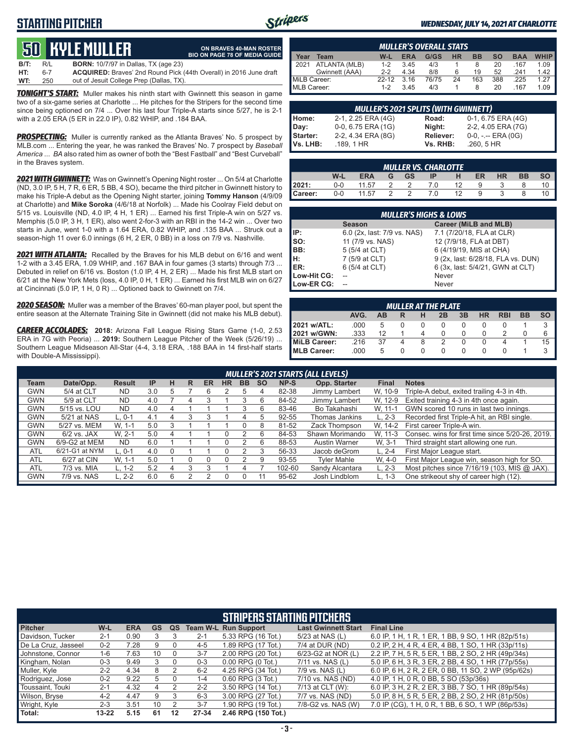# **STARTING PITCHER**



**ON BRAVES 40-MAN ROSTER BIO ON PAGE 78 OF MEDIA GUIDE**

#### *WEDNESDAY, JULY 14, 2021 AT CHARLOTTE*

# **50****KYLE MULLER**

**B/T:** R/L **BORN:** 10/7/97 in Dallas, TX (age 23) **HT:** 6-7 **ACQUIRED:** Braves' 2nd Round Pick (44th Overall) in 2016 June draft out of Jesuit College Prep (Dallas, TX)

*TONIGHT'S START:* Muller makes his ninth start with Gwinnett this season in game two of a six-game series at Charlotte ... He pitches for the Stripers for the second time since being optioned on 7/4 ... Over his last four Triple-A starts since 5/27, he is 2-1 with a 2.05 ERA (5 ER in 22.0 IP), 0.82 WHIP, and .184 BAA.

*PROSPECTING:* Muller is currently ranked as the Atlanta Braves' No. 5 prospect by MLB.com ... Entering the year, he was ranked the Braves' No. 7 prospect by *Baseball America* ... *BA* also rated him as owner of both the "Best Fastball" and "Best Curveball" in the Braves system.

*2021 WITH GWINNETT:* Was on Gwinnett's Opening Night roster ... On 5/4 at Charlotte (ND, 3.0 IP, 5 H, 7 R, 6 ER, 5 BB, 4 SO), became the third pitcher in Gwinnett history to make his Triple-A debut as the Opening Night starter, joining **Tommy Hanson** (4/9/09 at Charlotte) and **Mike Soroka** (4/6/18 at Norfolk) ... Made his Coolray Field debut on 5/15 vs. Louisville (ND, 4.0 IP, 4 H, 1 ER) ... Earned his first Triple-A win on 5/27 vs. Memphis (5.0 IP, 3 H, 1 ER), also went 2-for-3 with an RBI in the 14-2 win ... Over two starts in June, went 1-0 with a 1.64 ERA, 0.82 WHIP, and .135 BAA ... Struck out a season-high 11 over 6.0 innings (6 H, 2 ER, 0 BB) in a loss on 7/9 vs. Nashville.

*2021 WITH ATLANTA:* Recalled by the Braves for his MLB debut on 6/16 and went 1-2 with a 3.45 ERA, 1.09 WHIP, and .167 BAA in four games (3 starts) through 7/3 ... Debuted in relief on 6/16 vs. Boston (1.0 IP, 4 H, 2 ER) ... Made his first MLB start on 6/21 at the New York Mets (loss, 4.0 IP, 0 H, 1 ER) ... Earned his first MLB win on 6/27 at Cincinnati (5.0 IP, 1 H, 0 R) ... Optioned back to Gwinnett on 7/4.

*2020 SEASON:* Muller was a member of the Braves' 60-man player pool, but spent the entire season at the Alternate Training Site in Gwinnett (did not make his MLB debut).

*CAREER ACCOLADES:* **2018:** Arizona Fall League Rising Stars Game (1-0, 2.53 ERA in 7G with Peoria) ... **2019:** Southern League Pitcher of the Week (5/26/19) ... Southern League Midseason All-Star (4-4, 3.18 ERA, .188 BAA in 14 first-half starts with Double-A Mississippi).

| <b>MULLER'S OVERALL STATS</b> |                |         |            |       |           |     |           |            |             |
|-------------------------------|----------------|---------|------------|-------|-----------|-----|-----------|------------|-------------|
| Year                          | Team           | W-L     | <b>ERA</b> | G/GS  | <b>HR</b> | BB  | <b>SO</b> | <b>BAA</b> | <b>WHIP</b> |
| 2021                          | ATLANTA (MLB)  | $1 - 2$ | 3.45       | 4/3   |           |     | 20        | .167       | 1.09        |
|                               | Gwinnett (AAA) | $2-2$   | 4.34       | 8/8   |           | 19  | 52        | 241        | 1.42        |
| MiLB Career:                  |                | $22-12$ | 3.16       | 76/75 | 24        | 163 | 388       | .225       | 1.27        |
| MLB Career:                   |                | $1 - 2$ | 3.45       | 4/3   |           |     | 20        | 167        | 1.09        |

| <b>MULLER'S 2021 SPLITS (WITH GWINNETT)</b> |                    |           |                       |  |  |  |  |
|---------------------------------------------|--------------------|-----------|-----------------------|--|--|--|--|
|                                             | 2-1, 2.25 ERA (4G) | Road:     | 0-1, 6.75 ERA (4G)    |  |  |  |  |
|                                             | 0-0, 6.75 ERA (1G) | Night:    | 2-2, 4.05 ERA (7G)    |  |  |  |  |
|                                             | 2-2, 4.34 ERA (8G) | Reliever: | $0-0, - -$ ERA $(0G)$ |  |  |  |  |
| Home:<br>Day:<br>Starter:<br>Vs. LHB:       | .189, 1 HR         | Vs. RHB:  | $.260, 5$ HR          |  |  |  |  |

| <b>MULLER VS. CHARLOTTE</b> |       |            |   |      |     |    |    |           |           |           |  |  |
|-----------------------------|-------|------------|---|------|-----|----|----|-----------|-----------|-----------|--|--|
|                             | W-L   | <b>ERA</b> | G | GS . | IP  | н  | ER | <b>HR</b> | <b>BB</b> | <b>SO</b> |  |  |
| 2021:                       | $0-0$ | 11.57      |   |      | 7.0 | 12 | 9  |           |           | 10        |  |  |
| Career:                     | $0-0$ | 11.57      |   |      | 7.0 | 12 | 9  |           |           |           |  |  |

| <b>MULLER'S HIGHS &amp; LOWS</b> |                             |                                    |  |  |  |  |  |  |  |  |
|----------------------------------|-----------------------------|------------------------------------|--|--|--|--|--|--|--|--|
|                                  | <b>Season</b>               | Career (MiLB and MLB)              |  |  |  |  |  |  |  |  |
| IP:                              | 6.0 (2x, last: 7/9 vs. NAS) | 7.1 (7/20/18, FLA at CLR)          |  |  |  |  |  |  |  |  |
| so:                              | 11 (7/9 vs. NAS)            | 12 (7/9/18, FLA at DBT)            |  |  |  |  |  |  |  |  |
| BB:                              | 5 (5/4 at CLT)              | 6 (4/19/19, MIS at CHA)            |  |  |  |  |  |  |  |  |
| Iн:                              | 7 (5/9 at CLT)              | 9 (2x, last: 6/28/18, FLA vs. DUN) |  |  |  |  |  |  |  |  |
| <b>IER:</b>                      | 6 (5/4 at CLT)              | 6 (3x, last: 5/4/21, GWN at CLT)   |  |  |  |  |  |  |  |  |
| Low-Hit CG:                      |                             | Never                              |  |  |  |  |  |  |  |  |
| Low-ER CG:                       |                             | Never                              |  |  |  |  |  |  |  |  |

| <b>MULLER AT THE PLATE</b> |      |    |          |          |          |          |              |              |           |           |  |
|----------------------------|------|----|----------|----------|----------|----------|--------------|--------------|-----------|-----------|--|
|                            | AVG. | AВ | R        | н        | 2B       | 3B       | <b>HR</b>    | <b>RBI</b>   | <b>BB</b> | <b>SO</b> |  |
| 2021 w/ATL:                | .000 | 5  | 0        | $\Omega$ | O        | 0        |              |              |           | З         |  |
| 2021 w/GWN:                | .333 | 12 |          | 4        | $\Omega$ | $\Omega$ | $\Omega$     |              |           | 6         |  |
| MiLB Career:               | 216  | 37 | 4        | 8        |          | 0        | O            | 4            |           | 15        |  |
| <b>MLB Career:</b>         | .000 | 5  | $\Omega$ | $\Omega$ | 0        | $\Omega$ | $\mathbf{I}$ | $\mathbf{I}$ |           |           |  |

|            | <b>MULLER'S 2021 STARTS (ALL LEVELS)</b> |               |           |   |   |           |           |           |           |        |                      |              |                                                  |
|------------|------------------------------------------|---------------|-----------|---|---|-----------|-----------|-----------|-----------|--------|----------------------|--------------|--------------------------------------------------|
| Team       | Date/Opp.                                | <b>Result</b> | <b>IP</b> | н | R | <b>ER</b> | <b>HR</b> | <b>BB</b> | <b>SO</b> | NP-S   | Opp. Starter         | <b>Final</b> | <b>Notes</b>                                     |
| GWN        | 5/4 at CLT                               | <b>ND</b>     | 3.0       | b |   | 6         |           | 5         | 4         | 82-38  | Jimmy Lambert        | W. 10-9      | Triple-A debut, exited trailing 4-3 in 4th.      |
| <b>GWN</b> | 5/9 at CLT                               | <b>ND</b>     | 4.0       |   | 4 |           |           | 3         | 6         | 84-52  | Jimmy Lambert        | W. 12-9      | Exited training 4-3 in 4th once again.           |
| <b>GWN</b> | 5/15 vs. LOU                             | <b>ND</b>     | 4.0       | 4 |   |           |           |           | 6         | 83-46  | Bo Takahashi         | W. 11-1      | GWN scored 10 runs in last two innings.          |
| <b>GWN</b> | 5/21 at NAS                              | L. 0-1        | 4.1       | 4 |   |           |           | 4         | 5         | 92-55  | Thomas Jankins       | $L. 2-3$     | Recorded first Triple-A hit, an RBI single.      |
| <b>GWN</b> | 5/27 vs. MEM                             | W. 1-1        | 5.0       | 3 |   |           |           |           | 8         | 81-52  | Zack Thompson        | W. 14-2      | First career Triple-A win.                       |
| <b>GWN</b> | $6/2$ vs. JAX                            | W. 2-1        | 5.0       | 4 |   |           |           |           | 6         | 84-53  | Shawn Morimando      | W. 11-3      | Consec. wins for first time since 5/20-26, 2019. |
| GWN        | 6/9-G2 at MEM                            | <b>ND</b>     | 6.0       |   |   |           |           |           | 6         | 88-53  | <b>Austin Warner</b> | W. 3-1       | Third straight start allowing one run.           |
| <b>ATL</b> | 6/21-G1 at NYM                           | L. 0-1        | 4.0       |   |   |           |           |           |           | 56-33  | Jacob deGrom         | $L. 2 - 4$   | First Major League start.                        |
| <b>ATL</b> | 6/27 at CIN                              | W. 1-1        | 5.0       |   | ი |           |           |           | 9         | 93-55  | <b>Tyler Mahle</b>   | W. 4-0       | First Major League win, season high for SO.      |
| <b>ATL</b> | 7/3 vs. MIA                              | L. 1-2        | 5.2       | 4 | 3 | 3         |           | 4         |           | 102-60 | Sandy Alcantara      | $L. 2-3$     | Most pitches since 7/16/19 (103, MIS @ JAX).     |
| <b>GWN</b> | 7/9 vs. NAS                              | $L. 2-2$      | 6.0       | 6 |   |           |           | Ω         | 11        | 95-62  | Josh Lindblom        | $L. 1-3$     | One strikeout shy of career high (12).           |
|            |                                          |               |           |   |   |           |           |           |           |        |                      |              |                                                  |

|                     | <b>Stripers Starting Pitchers</b> |            |           |    |         |                             |                            |                                                     |  |  |  |  |
|---------------------|-----------------------------------|------------|-----------|----|---------|-----------------------------|----------------------------|-----------------------------------------------------|--|--|--|--|
| <b>Pitcher</b>      | W-L                               | <b>ERA</b> | <b>GS</b> | QS |         | <b>Team W-L Run Support</b> | <b>Last Gwinnett Start</b> | <b>Final Line</b>                                   |  |  |  |  |
| Davidson, Tucker    | $2 - 1$                           | 0.90       |           |    | $2 - 1$ | 5.33 RPG (16 Tot.)          | 5/23 at NAS (L)            | 6.0 IP, 1 H, 1 R, 1 ER, 1 BB, 9 SO, 1 HR (82p/51s)  |  |  |  |  |
| De La Cruz, Jasseel | $0 - 2$                           | 7.28       | 9         |    | $4 - 5$ | 1.89 RPG (17 Tot.)          | 7/4 at DUR (ND)            | 0.2 IP, 2 H, 4 R, 4 ER, 4 BB, 1 SO, 1 HR (33p/11s)  |  |  |  |  |
| Johnstone, Connor   | 1-6                               | 7.63       | 10        |    | $3 - 7$ | 2.00 RPG (20 Tot.)          | 6/23-G2 at NOR (L)         | 2.2 IP, 7 H, 5 R, 5 ER, 1 BB, 2 SO, 2 HR (49p/34s)  |  |  |  |  |
| Kingham, Nolan      | $0 - 3$                           | 9.49       |           |    | $0 - 3$ | $0.00$ RPG $(0$ Tot.)       | 7/11 vs. NAS (L)           | 5.0 IP, 6 H, 3 R, 3 ER, 2 BB, 4 SO, 1 HR (77p/55s)  |  |  |  |  |
| Muller, Kyle        | $2 - 2$                           | 4.34       |           |    | $6 - 2$ | 4.25 RPG (34 Tot.)          | 7/9 vs. NAS (L)            | 6.0 IP, 6 H, 2 R, 2 ER, 0 BB, 11 SO, 2 WP (95p/62s) |  |  |  |  |
| Rodriguez, Jose     | $0 - 2$                           | 9.22       | 5         |    | $1 - 4$ | $0.60$ RPG $(3$ Tot.)       | 7/10 vs. NAS (ND)          | 4.0 IP, 1 H, 0 R, 0 BB, 5 SO (53p/36s)              |  |  |  |  |
| Toussaint. Touki    | $2 - 1$                           | 4.32       | 4         |    | $2 - 2$ | 3.50 RPG (14 Tot.)          | $7/13$ at CLT (W):         | 6.0 IP, 3 H, 2 R, 2 ER, 3 BB, 7 SO, 1 HR (89p/54s)  |  |  |  |  |
| Wilson, Bryse       | $4 - 2$                           | 4.47       | 9         |    | $6 - 3$ | 3.00 RPG (27 Tot.)          | 7/7 vs. NAS (ND)           | 5.0 IP, 8 H, 5 R, 5 ER, 2 BB, 2 SO, 2 HR (81p/50s)  |  |  |  |  |
| Wright, Kyle        | $2 - 3$                           | 3.51       | 10        |    | $3 - 7$ | 1.90 RPG (19 Tot.)          | 7/8-G2 vs. NAS (W)         | 7.0 IP (CG), 1 H, 0 R, 1 BB, 6 SO, 1 WP (86p/53s)   |  |  |  |  |
| Total:              | $13 - 22$                         | 5.15       | 61        | 12 | 27-34   | 2.46 RPG (150 Tot.)         |                            |                                                     |  |  |  |  |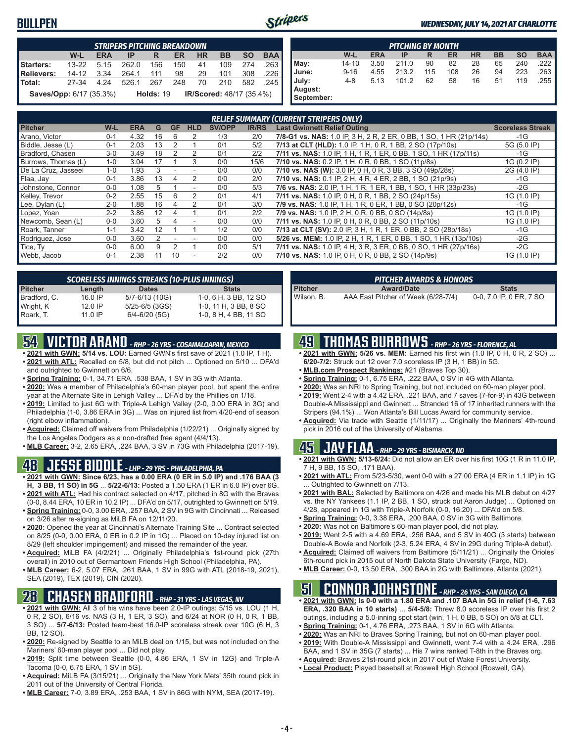### **BULLPEN**



#### *WEDNESDAY, JULY 14, 2021 AT CHARLOTTE*

|                         | <b>STRIPERS PITCHING BREAKDOWN</b> |            |       |                  |     |           |                                 |           |            |  |  |  |  |
|-------------------------|------------------------------------|------------|-------|------------------|-----|-----------|---------------------------------|-----------|------------|--|--|--|--|
|                         | W-L                                | <b>ERA</b> | IP    | R                | ER  | <b>HR</b> | <b>BB</b>                       | <b>SO</b> | <b>BAA</b> |  |  |  |  |
| Starters:               | $13 - 22$                          | 5.15       | 262.0 | 156              | 150 | 41        | 109                             | 274       | .263       |  |  |  |  |
| <b>Relievers:</b>       | 14-12                              | 3.34       | 264.1 | 111              | 98  | 29        | 101                             | 308       | .226       |  |  |  |  |
| Total:                  | 27-34                              | 4.24       | 526.1 | 267              | 248 | 70        | 210                             | 582       | .245       |  |  |  |  |
| Saves/Opp: 6/17 (35.3%) |                                    |            |       | <b>Holds: 19</b> |     |           | <b>IR/Scored: 48/17 (35.4%)</b> |           |            |  |  |  |  |

|            | <b>PITCHING BY MONTH</b> |            |       |     |     |           |           |           |            |  |  |  |  |  |
|------------|--------------------------|------------|-------|-----|-----|-----------|-----------|-----------|------------|--|--|--|--|--|
|            | W-L                      | <b>ERA</b> | IP    | R   | ER  | <b>HR</b> | <b>BB</b> | <b>SO</b> | <b>BAA</b> |  |  |  |  |  |
| May:       | $14 - 10$                | 3.50       | 211.0 | 90  | 82  | 28        | 65        | 240       | .222 I     |  |  |  |  |  |
| June:      | $9 - 16$                 | 4.55       | 213.2 | 115 | 108 | 26        | 94        | 223       | .263 I     |  |  |  |  |  |
| July:      | $4 - 8$                  | 5.13       | 101.2 | 62  | 58  | 16        | 51        | 119       | .255       |  |  |  |  |  |
| August:    |                          |            |       |     |     |           |           |           |            |  |  |  |  |  |
| September: |                          |            |       |     |     |           |           |           |            |  |  |  |  |  |

| <b>RELIEF SUMMARY (CURRENT STRIPERS ONLY)</b> |         |            |    |           |            |               |              |                                                                    |                         |  |  |
|-----------------------------------------------|---------|------------|----|-----------|------------|---------------|--------------|--------------------------------------------------------------------|-------------------------|--|--|
| <b>Pitcher</b>                                | W-L     | <b>ERA</b> | G  | <b>GF</b> | <b>HLD</b> | <b>SV/OPP</b> | <b>IR/RS</b> | <b>Last Gwinnett Relief Outing</b>                                 | <b>Scoreless Streak</b> |  |  |
| Arano, Victor                                 | $0 - 1$ | 4.32       | 16 | 6         |            | 1/3           | 2/0          | 7/8-G1 vs. NAS: 1.0 IP, 3 H, 2 R, 2 ER, 0 BB, 1 SO, 1 HR (21p/14s) | $-1G$                   |  |  |
| Biddle, Jesse (L)                             | $0 - 1$ | 2.03       | 13 |           |            | 0/1           | 5/2          | 7/13 at CLT (HLD): 1.0 IP, 1 H, 0 R, 1 BB, 2 SO (17p/10s)          | 5G (5.0 IP)             |  |  |
| Bradford, Chasen                              | $3-0$   | 3.49       | 18 |           | 2          | 0/1           | 2/2          | 7/11 vs. NAS: 1.0 IP, 1 H, 1 R, 1 ER, 0 BB, 1 SO, 1 HR (17p/11s)   | $-1G$                   |  |  |
| Burrows, Thomas (L)                           | $1 - 0$ | 3.04       | 17 |           | 3          | 0/0           | 15/6         | 7/10 vs. NAS: 0.2 IP, 1 H, 0 R, 0 BB, 1 SO (11p/8s)                | 1G (0.2 IP)             |  |  |
| De La Cruz, Jasseel                           | $1 - 0$ | 1.93       | 3  |           |            | 0/0           | 0/0          | 7/10 vs. NAS (W): 3.0 IP, 0 H, 0 R, 3 BB, 3 SO (49p/28s)           | 2G (4.0 IP)             |  |  |
| Flaa, Jay                                     | $0 - 1$ | 3.86       | 13 |           | 2          | 0/0           | 2/0          | 7/10 vs. NAS: 0.1 IP, 2 H, 4 R, 4 ER, 2 BB, 1 SO (21p/9s)          | $-1G$                   |  |  |
| Johnstone, Connor                             | $0-0$   | 1.08       | 5  |           |            | 0/0           | 5/3          | 7/6 vs. NAS: 2.0 IP, 1 H, 1 R, 1 ER, 1 BB, 1 SO, 1 HR (33p/23s)    | $-2G$                   |  |  |
| Kelley, Trevor                                | $0 - 2$ | 2.55       | 15 | 6         |            | 0/1           | 4/1          | 7/11 vs. NAS: 1.0 IP, 0 H, 0 R, 1 BB, 2 SO (24p/15s)               | 1G (1.0 IP)             |  |  |
| Lee, Dylan (L)                                | $2 - 0$ | 1.88       | 16 |           |            | 0/1           | 3/0          | 7/9 vs. NAS: 1.0 IP, 1 H, 1 R, 0 ER, 1 BB, 0 SO (20p/12s)          | $-1G$                   |  |  |
| Lopez, Yoan                                   | $2 - 2$ | 3.86       | 12 |           |            | 0/1           | 2/2          | 7/9 vs. NAS: 1.0 IP, 2 H, 0 R, 0 BB, 0 SO (14p/8s)                 | 1G (1.0 IP)             |  |  |
| Newcomb, Sean (L)                             | $0 - 0$ | 3.60       | 5  |           |            | 0/0           | 0/0          | 7/11 vs. NAS: 1.0 IP, 0 H, 0 R, 0 BB, 2 SO (11p/10s)               | 1G (1.0 IP)             |  |  |
| Roark, Tanner                                 | $1 - 1$ | 3.42       | 12 |           |            | 1/2           | 0/0          | 7/13 at CLT (SV): 2.0 IP, 3 H, 1 R, 1 ER, 0 BB, 2 SO (28p/18s)     | $-1G$                   |  |  |
| Rodriguez, Jose                               | $0 - 0$ | 3.60       |    |           |            | 0/0           | 0/0          | 5/26 vs. MEM: 1.0 IP, 2 H, 1 R, 1 ER, 0 BB, 1 SO, 1 HR (13p/10s)   | $-2G$                   |  |  |
| Tice, Ty                                      | $0 - 0$ | 6.00       | 9  |           |            | 0/0           | 5/1          | 7/11 vs. NAS: 1.0 IP, 4 H, 3 R, 3 ER, 0 BB, 0 SO, 1 HR (27p/16s)   | $-2G$                   |  |  |
| Webb, Jacob                                   | $0 - 1$ | 2.38       |    | 10        |            | 2/2           | 0/0          | 7/10 vs. NAS: 1.0 IP, 0 H, 0 R, 0 BB, 2 SO (14p/9s)                | 1G (1.0 IP)             |  |  |

| <b>SCORELESS INNINGS STREAKS (10-PLUS INNINGS)</b> |           |                    |                       |  |  |  |  |  |  |  |
|----------------------------------------------------|-----------|--------------------|-----------------------|--|--|--|--|--|--|--|
| <b>Pitcher</b>                                     | Length    | <b>Dates</b>       | <b>Stats</b>          |  |  |  |  |  |  |  |
| Bradford, C.                                       | 16.0 IP   | 5/7-6/13 (10G)     | 1-0, 6 H, 3 BB, 12 SO |  |  |  |  |  |  |  |
| Wright, K                                          | 12.0 IP   | $5/25 - 6/5$ (3GS) | 1-0, 11 H, 3 BB, 8 SO |  |  |  |  |  |  |  |
| Roark, T.                                          | $11.0$ IP | $6/4 - 6/20$ (5G)  | 1-0, 8 H, 4 BB, 11 SO |  |  |  |  |  |  |  |

# **54 VICTOR ARANO** *- RHP - 26 YRS - COSAMALOAPAN, MEXICO*

- **• 2021 with GWN: 5/14 vs. LOU:** Earned GWN's first save of 2021 (1.0 IP, 1 H). **• 2021 with ATL:** Recalled on 5/8, but did not pitch ... Optioned on 5/10 ... DFA'd and outrighted to Gwinnett on 6/6.
- **• Spring Training:** 0-1, 34.71 ERA, .538 BAA, 1 SV in 3G with Atlanta.
- **• 2020:** Was a member of Philadelphia's 60-man player pool, but spent the entire year at the Alternate Site in Lehigh Valley ... DFA'd by the Phillies on 1/18.
- **• 2019:** Limited to just 6G with Triple-A Lehigh Valley (2-0, 0.00 ERA in 3G) and Philadelphia (1-0, 3.86 ERA in 3G) ... Was on injured list from 4/20-end of season (right elbow inflammation).
- **• Acquired:** Claimed off waivers from Philadelphia (1/22/21) ... Originally signed by the Los Angeles Dodgers as a non-drafted free agent (4/4/13).
- **• MLB Career:** 3-2, 2.65 ERA, .224 BAA, 3 SV in 73G with Philadelphia (2017-19).

### **48 JESSE BIDDLE** *- LHP - 29 YRS - PHILADELPHIA, PA*

- **• 2021 with GWN: Since 6/23, has a 0.00 ERA (0 ER in 5.0 IP) and .176 BAA (3 H, 3 BB, 11 SO) in 5G** ... **5/22-6/13:** Posted a 1.50 ERA (1 ER in 6.0 IP) over 6G.
- **• 2021 with ATL:** Had his contract selected on 4/17, pitched in 8G with the Braves (0-0, 8.44 ERA, 10 ER in 10.2 IP) ... DFA'd on 5/17, outrighted to Gwinnett on 5/19. **• Spring Training:** 0-0, 3.00 ERA, .257 BAA, 2 SV in 9G with Cincinnati ... Released
- on 3/26 after re-signing as MiLB FA on 12/11/20. **• 2020:** Opened the year at Cincinnati's Alternate Training Site ... Contract selected
- on 8/25 (0-0, 0.00 ERA, 0 ER in 0.2 IP in 1G) ... Placed on 10-day injured list on 8/29 (left shoulder impingement) and missed the remainder of the year.
- **• Acquired:** MiLB FA (4/2/21) ... Originally Philadelphia's 1st-round pick (27th overall) in 2010 out of Germantown Friends High School (Philadelphia, PA).
- **• MLB Career:** 6-2, 5.07 ERA, .261 BAA, 1 SV in 99G with ATL (2018-19, 2021), SEA (2019), TEX (2019), CIN (2020).

# **28 CHASEN BRADFORD** *- RHP - 31 YRS - LAS VEGAS, NV*

- **• 2021 with GWN:** All 3 of his wins have been 2.0-IP outings: 5/15 vs. LOU (1 H, 0 R, 2 SO), 6/16 vs. NAS (3 H, 1 ER, 3 SO), and 6/24 at NOR (0 H, 0 R, 1 BB, 3 SO) ... **5/7-6/13:** Posted team-best 16.0-IP scoreless streak over 10G (6 H, 3 BB, 12 SO).
- **• 2020:** Re-signed by Seattle to an MiLB deal on 1/15, but was not included on the Mariners' 60-man player pool ... Did not play.
- **• 2019:** Split time between Seattle (0-0, 4.86 ERA, 1 SV in 12G) and Triple-A Tacoma (0-0, 6.75 ERA, 1 SV in 5G).
- **• Acquired:** MiLB FA (3/15/21) ... Originally the New York Mets' 35th round pick in 2011 out of the University of Central Florida.
- **• MLB Career:** 7-0, 3.89 ERA, .253 BAA, 1 SV in 86G with NYM, SEA (2017-19).

|                | <b>PITCHER AWARDS &amp; HONORS</b>  |                         |
|----------------|-------------------------------------|-------------------------|
| <b>Pitcher</b> | <b>Award/Date</b>                   | <b>Stats</b>            |
| Wilson, B.     | AAA East Pitcher of Week (6/28-7/4) | 0-0, 7.0 IP, 0 ER, 7 SO |

# **49 THOMAS BURROWS** *- RHP - 26 YRS - FLORENCE, AL*

- **• 2021 with GWN: 5/26 vs. MEM:** Earned his first win (1.0 IP, 0 H, 0 R, 2 SO) ... **6/20-7/2:** Struck out 12 over 7.0 scoreless IP (3 H, 1 BB) in 5G.
- **• MLB.com Prospect Rankings:** #21 (Braves Top 30).
- **• Spring Training:** 0-1, 6.75 ERA, .222 BAA, 0 SV in 4G with Atlanta.
- **• 2020:** Was an NRI to Spring Training, but not included on 60-man player pool.
- **• 2019:** Went 2-4 with a 4.42 ERA, .221 BAA, and 7 saves (7-for-9) in 43G between Double-A Mississippi and Gwinnett ... Stranded 16 of 17 inherited runners with the Stripers (94.1%) ... Won Atlanta's Bill Lucas Award for community service.
- **• Acquired:** Via trade with Seattle (1/11/17) ... Originally the Mariners' 4th-round pick in 2016 out of the University of Alabama.

#### **45 JAY FLAA** *- RHP - 29 YRS - BISMARCK, ND*

- **• 2021 with GWN: 5/13-6/24:** Did not allow an ER over his first 10G (1 R in 11.0 IP, 7 H, 9 BB, 15 SO, .171 BAA).
- **• 2021 with ATL:** From 5/23-5/30, went 0-0 with a 27.00 ERA (4 ER in 1.1 IP) in 1G ... Outrighted to Gwinnett on 7/13.
- **• 2021 with BAL:** Selected by Baltimore on 4/26 and made his MLB debut on 4/27 vs. the NY Yankees (1.1 IP, 2 BB, 1 SO, struck out Aaron Judge) ... Optioned on 4/28, appeared in 1G with Triple-A Norfolk (0-0, 16.20) ... DFA'd on 5/8.
- **• Spring Training:** 0-0, 3.38 ERA, .200 BAA, 0 SV in 3G with Baltimore.
- **• 2020:** Was not on Baltimore's 60-man player pool, did not play.
- **• 2019:** Went 2-5 with a 4.69 ERA, .256 BAA, and 5 SV in 40G (3 starts) between Double-A Bowie and Norfolk (2-3, 5.24 ERA, 4 SV in 29G during Triple-A debut).
- **• Acquired:** Claimed off waivers from Baltimore (5/11/21) ... Originally the Orioles' 6th-round pick in 2015 out of North Dakota State University (Fargo, ND).
- **• MLB Career:** 0-0, 13.50 ERA, .300 BAA in 2G with Baltimore, Atlanta (2021).

#### **51 CONNOR JOHNSTONE** *- RHP - 26 YRS - SAN DIEGO, CA*

- **• 2021 with GWN: Is 0-0 with a 1.80 ERA and .107 BAA in 5G in relief (1-6, 7.63 ERA, .320 BAA in 10 starts)** ... **5/4-5/8:** Threw 8.0 scoreless IP over his first 2 outings, including a 5.0-inning spot start (win, 1 H, 0 BB, 5 SO) on 5/8 at CLT.
- **• Spring Training:** 0-1, 4.76 ERA, .273 BAA, 1 SV in 6G with Atlanta.
- **• 2020:** Was an NRI to Braves Spring Training, but not on 60-man player pool.
- **• 2019:** With Double-A Mississippi and Gwinnett, went 7-4 with a 4.24 ERA, .296
- BAA, and 1 SV in 35G (7 starts) ... His 7 wins ranked T-8th in the Braves org.
- **• Acquired:** Braves 21st-round pick in 2017 out of Wake Forest University.
- **• Local Product:** Played baseball at Roswell High School (Roswell, GA).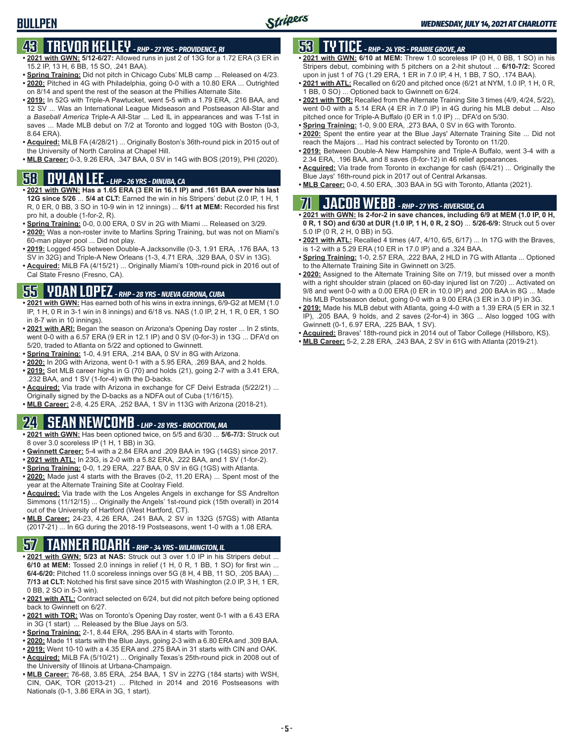# **43 TREVOR KELLEY** *- RHP - 27 YRS - PROVIDENCE, RI*

- **• 2021 with GWN: 5/12-6/27:** Allowed runs in just 2 of 13G for a 1.72 ERA (3 ER in 15.2 IP, 13 H, 6 BB, 15 SO, .241 BAA).
- **• Spring Training:** Did not pitch in Chicago Cubs' MLB camp ... Released on 4/23. **• 2020:** Pitched in 4G with Philadelphia, going 0-0 with a 10.80 ERA ... Outrighted
- on 8/14 and spent the rest of the season at the Phillies Alternate Site. **• 2019:** In 52G with Triple-A Pawtucket, went 5-5 with a 1.79 ERA, .216 BAA, and
- 12 SV ... Was an International League Midseason and Postseason All-Star and a *Baseball America* Triple-A All-Star ... Led IL in appearances and was T-1st in saves ... Made MLB debut on 7/2 at Toronto and logged 10G with Boston (0-3, 8.64 ERA).
- **• Acquired:** MiLB FA (4/28/21) ... Originally Boston's 36th-round pick in 2015 out of the University of North Carolina at Chapel Hill.
- **• MLB Career:** 0-3, 9.26 ERA, .347 BAA, 0 SV in 14G with BOS (2019), PHI (2020).

# **58 DYLAN LEE** *- LHP - 26 YRS - DINUBA, CA*

- **• 2021 with GWN: Has a 1.65 ERA (3 ER in 16.1 IP) and .161 BAA over his last 12G since 5/26** ... **5/4 at CLT:** Earned the win in his Stripers' debut (2.0 IP, 1 H, 1 R, 0 ER, 0 BB, 3 SO in 10-9 win in 12 innings) ... **6/11 at MEM:** Recorded his first pro hit, a double (1-for-2, R).
- **• Spring Training:** 0-0, 0.00 ERA, 0 SV in 2G with Miami ... Released on 3/29.
- **• 2020:** Was a non-roster invite to Marlins Spring Training, but was not on Miami's 60-man player pool ... Did not play.
- **• 2019:** Logged 45G between Double-A Jacksonville (0-3, 1.91 ERA, .176 BAA, 13 SV in 32G) and Triple-A New Orleans (1-3, 4.71 ERA, .329 BAA, 0 SV in 13G).
- **• Acquired:** MiLB FA (4/15/21) ... Originally Miami's 10th-round pick in 2016 out of Cal State Fresno (Fresno, CA).

# **55 YOAN LOPEZ** *- RHP - 28 YRS - NUEVA GERONA, CUBA*

- **• 2021 with GWN:** Has earned both of his wins in extra innings, 6/9-G2 at MEM (1.0 IP, 1 H, 0 R in 3-1 win in 8 innings) and 6/18 vs. NAS (1.0 IP, 2 H, 1 R, 0 ER, 1 SO in 8-7 win in 10 innings).
- **• 2021 with ARI:** Began the season on Arizona's Opening Day roster ... In 2 stints, went 0-0 with a 6.57 ERA (9 ER in 12.1 IP) and 0 SV (0-for-3) in 13G ... DFA'd on 5/20, traded to Atlanta on 5/22 and optioned to Gwinnett.
- **• Spring Training:** 1-0, 4.91 ERA, .214 BAA, 0 SV in 8G with Arizona.
- **• 2020:** In 20G with Arizona, went 0-1 with a 5.95 ERA, .269 BAA, and 2 holds. **• 2019:** Set MLB career highs in G (70) and holds (21), going 2-7 with a 3.41 ERA,
- .232 BAA, and 1 SV (1-for-4) with the D-backs. **• Acquired:** Via trade with Arizona in exchange for CF Deivi Estrada (5/22/21) ... Originally signed by the D-backs as a NDFA out of Cuba (1/16/15).
- **• MLB Career:** 2-8, 4.25 ERA, .252 BAA, 1 SV in 113G with Arizona (2018-21).

# **24 SEAN NEWCOMB** *- LHP - 28 YRS - BROCKTON, MA*

- **• 2021 with GWN:** Has been optioned twice, on 5/5 and 6/30 ... **5/6-7/3:** Struck out 8 over 3.0 scoreless IP (1 H, 1 BB) in 3G.
- **• Gwinnett Career:** 5-4 with a 2.84 ERA and .209 BAA in 19G (14GS) since 2017.
- **• 2021 with ATL:** In 23G, is 2-0 with a 5.82 ERA, .222 BAA, and 1 SV (1-for-2).
- **• Spring Training:** 0-0, 1.29 ERA, .227 BAA, 0 SV in 6G (1GS) with Atlanta.
- **• 2020:** Made just 4 starts with the Braves (0-2, 11.20 ERA) ... Spent most of the year at the Alternate Training Site at Coolray Field.
- **• Acquired:** Via trade with the Los Angeles Angels in exchange for SS Andrelton Simmons (11/12/15) ... Originally the Angels' 1st-round pick (15th overall) in 2014 out of the University of Hartford (West Hartford, CT).
- **• MLB Career:** 24-23, 4.26 ERA, .241 BAA, 2 SV in 132G (57GS) with Atlanta (2017-21) ... In 6G during the 2018-19 Postseasons, went 1-0 with a 1.08 ERA.

# **57 TANNER ROARK** *- RHP - 34 YRS - WILMINGTON, IL*

- **• 2021 with GWN: 5/23 at NAS:** Struck out 3 over 1.0 IP in his Stripers debut ... **6/10 at MEM:** Tossed 2.0 innings in relief (1 H, 0 R, 1 BB, 1 SO) for first win ... **6/4-6/20:** Pitched 11.0 scoreless innings over 5G (8 H, 4 BB, 11 SO, .205 BAA) ... **7/13 at CLT:** Notched his first save since 2015 with Washington (2.0 IP, 3 H, 1 ER, 0 BB, 2 SO in 5-3 win).
- **• 2021 with ATL:** Contract selected on 6/24, but did not pitch before being optioned back to Gwinnett on 6/27.
- **• 2021 with TOR:** Was on Toronto's Opening Day roster, went 0-1 with a 6.43 ERA in 3G (1 start) ... Released by the Blue Jays on 5/3.
- **• Spring Training:** 2-1, 8.44 ERA, .295 BAA in 4 starts with Toronto.
- **• 2020:** Made 11 starts with the Blue Jays, going 2-3 with a 6.80 ERA and .309 BAA.
- **• 2019:** Went 10-10 with a 4.35 ERA and .275 BAA in 31 starts with CIN and OAK. **• Acquired:** MiLB FA (5/10/21) ... Originally Texas's 25th-round pick in 2008 out of
- the University of Illinois at Urbana-Champaign.
- **• MLB Career:** 76-68, 3.85 ERA, .254 BAA, 1 SV in 227G (184 starts) with WSH, CIN, OAK, TOR (2013-21) ... Pitched in 2014 and 2016 Postseasons with Nationals (0-1, 3.86 ERA in 3G, 1 start).

# **53 TY TICE** *- RHP - 24 YRS - PRAIRIE GROVE, AR*

- **• 2021 with GWN: 6/10 at MEM:** Threw 1.0 scoreless IP (0 H, 0 BB, 1 SO) in his Stripers debut, combining with 5 pitchers on a 2-hit shutout ... **6/10-7/2:** Scored upon in just 1 of 7G (1.29 ERA, 1 ER in 7.0 IP, 4 H, 1 BB, 7 SO, .174 BAA).
- **• 2021 with ATL:** Recalled on 6/20 and pitched once (6/21 at NYM, 1.0 IP, 1 H, 0 R, 1 BB, 0 SO) ... Optioned back to Gwinnett on 6/24.
- **• 2021 with TOR:** Recalled from the Alternate Training Site 3 times (4/9, 4/24, 5/22), went 0-0 with a 5.14 ERA (4 ER in 7.0 IP) in 4G during his MLB debut ... Also pitched once for Triple-A Buffalo (0 ER in 1.0 IP) ... DFA'd on 5/30.
- **• Spring Training:** 1-0, 9.00 ERA, .273 BAA, 0 SV in 6G with Toronto.
- **• 2020:** Spent the entire year at the Blue Jays' Alternate Training Site ... Did not reach the Majors ... Had his contract selected by Toronto on 11/20.
- **• 2019:** Between Double-A New Hampshire and Triple-A Buffalo, went 3-4 with a 2.34 ERA, .196 BAA, and 8 saves (8-for-12) in 46 relief appearances.
- **• Acquired:** Via trade from Toronto in exchange for cash (6/4/21) ... Originally the Blue Jays' 16th-round pick in 2017 out of Central Arkansas.
- **• MLB Career:** 0-0, 4.50 ERA, .303 BAA in 5G with Toronto, Atlanta (2021).

# **71 JACOB WEBB** *- RHP - 27 YRS - RIVERSIDE, CA*

**• 2021 with GWN: Is 2-for-2 in save chances, including 6/9 at MEM (1.0 IP, 0 H, 0 R, 1 SO) and 6/30 at DUR (1.0 IP, 1 H, 0 R, 2 SO)** ... **5/26-6/9:** Struck out 5 over 5.0 IP (0 R, 2 H, 0 BB) in 5G.

- **• 2021 with ATL:** Recalled 4 times (4/7, 4/10, 6/5, 6/17) ... In 17G with the Braves, is 1-2 with a 5.29 ERA (10 ER in 17.0 IP) and a .324 BAA.
- **• Spring Training:** 1-0, 2.57 ERA, .222 BAA, 2 HLD in 7G with Atlanta ... Optioned to the Alternate Training Site in Gwinnett on 3/25.
- **• 2020:** Assigned to the Alternate Training Site on 7/19, but missed over a month with a right shoulder strain (placed on 60-day injured list on 7/20) ... Activated on 9/8 and went 0-0 with a 0.00 ERA (0 ER in 10.0 IP) and .200 BAA in 8G ... Made his MLB Postseason debut, going 0-0 with a 9.00 ERA (3 ER in 3.0 IP) in 3G.
- **• 2019:** Made his MLB debut with Atlanta, going 4-0 with a 1.39 ERA (5 ER in 32.1 IP), .205 BAA, 9 holds, and 2 saves (2-for-4) in 36G ... Also logged 10G with Gwinnett (0-1, 6.97 ERA, .225 BAA, 1 SV).
- **• Acquired:** Braves' 18th-round pick in 2014 out of Tabor College (Hillsboro, KS).
- **• MLB Career:** 5-2, 2.28 ERA, .243 BAA, 2 SV in 61G with Atlanta (2019-21).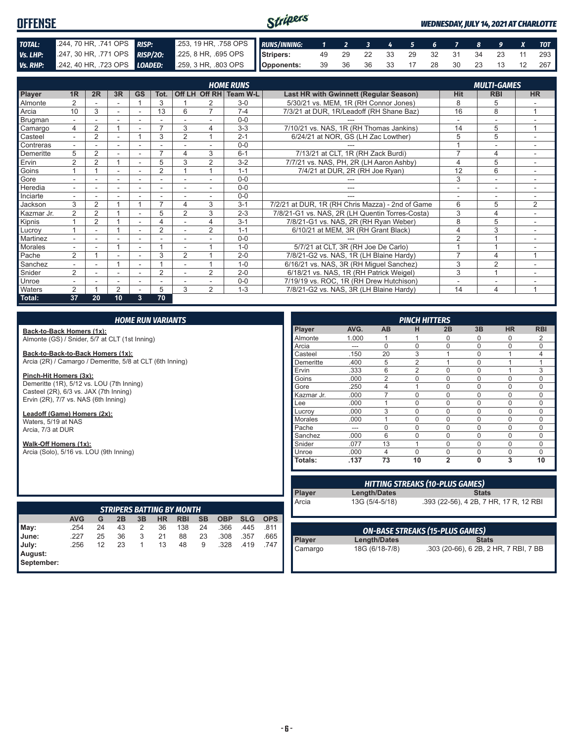#### Stripers **OFFENSE** *WEDNESDAY, JULY 14, 2021 AT CHARLOTTE TOTAL:* .244, 70 HR, .741 OPS *RISP:* .253, 19 HR, .758 OPS *RUNS/INNING: 1 2 3 4 5 6 7 8 9 X TOT Vs. LHP:* .247, 30 HR, .771 OPS *RISP/2O:* .225, 8 HR, .695 OPS **Stripers:** 49 29 22 33 29 32 31 34 23 11 293 *Vs. RHP:* .242, 40 HR, .723 OPS *LOADED:* .259, 3 HR, .803 OPS **Opponents:** 39 36 36 33 17 28 30 23 13 12 267

| <b>HOME RUNS</b><br>Player<br>Off LH Off RH Team W-L<br>2R<br><b>GS</b><br>1 <sub>R</sub><br>3R<br>Tot. |                          |                |                          |                          |                          |                |        |         |                                                  |                          | <b>MULTI-GAMES</b>       |                |
|---------------------------------------------------------------------------------------------------------|--------------------------|----------------|--------------------------|--------------------------|--------------------------|----------------|--------|---------|--------------------------------------------------|--------------------------|--------------------------|----------------|
|                                                                                                         |                          |                |                          |                          |                          |                |        |         | Last HR with Gwinnett (Regular Season)           | Hit                      | <b>RBI</b>               | <b>HR</b>      |
| <b>Almonte</b>                                                                                          | 2                        |                |                          |                          | 3                        |                |        | $3-0$   | 5/30/21 vs. MEM, 1R (RH Connor Jones)            | 8                        | 5                        |                |
| Arcia                                                                                                   | 10                       | 3              | $\sim$                   |                          | 13                       | 6              | 7      | $7 - 4$ | 7/3/21 at DUR, 1R/Leadoff (RH Shane Baz)         | 16                       | 8                        | 1              |
| Brugman                                                                                                 | $\overline{\phantom{0}}$ | ٠              | $\overline{\phantom{a}}$ | $\overline{\phantom{a}}$ |                          |                |        | $0 - 0$ |                                                  |                          | $\overline{\phantom{a}}$ |                |
| Camargo                                                                                                 | 4                        | $\overline{2}$ |                          |                          | ⇁                        | 3              | 4      | $3 - 3$ | 7/10/21 vs. NAS, 1R (RH Thomas Jankins)          | 14                       | 5                        | $\overline{ }$ |
| Casteel                                                                                                 |                          | $\overline{2}$ |                          |                          | 3                        | $\overline{2}$ |        | $2 - 1$ | 6/24/21 at NOR, GS (LH Zac Lowther)              | 5                        | 5                        |                |
| Contreras                                                                                               | ٠                        |                |                          |                          |                          |                |        | $0 - 0$ |                                                  |                          | ۰                        |                |
| Demeritte                                                                                               | 5                        | $\overline{2}$ |                          |                          | ⇁                        | 4              | 3      | $6 - 1$ | 7/13/21 at CLT, 1R (RH Zack Burdi)               | ⇁                        | $\overline{4}$           | ٠.             |
| Ervin                                                                                                   | 2                        | $\overline{2}$ |                          |                          | 5                        | 3              | 2      | $3 - 2$ | 7/7/21 vs. NAS, PH, 2R (LH Aaron Ashby)          | $\overline{4}$           | 5                        |                |
| Goins                                                                                                   |                          |                |                          |                          | $\overline{2}$           |                |        | $1 - 1$ | 7/4/21 at DUR, 2R (RH Joe Ryan)                  | 12                       | 6                        |                |
| Gore                                                                                                    |                          |                | ٠                        |                          | ٠                        |                | $\sim$ | $0 - 0$ |                                                  | 3                        | $\overline{\phantom{a}}$ |                |
| Heredia                                                                                                 | $\overline{a}$           |                |                          |                          |                          |                |        | $0 - 0$ |                                                  |                          | ٠                        |                |
| Inciarte                                                                                                | $\overline{\phantom{0}}$ |                |                          |                          |                          |                |        | $0 - 0$ |                                                  | $\overline{\phantom{a}}$ | $\overline{\phantom{a}}$ | ٠.             |
| Jackson                                                                                                 | 3                        | $\overline{2}$ |                          |                          | ⇁                        | 4              | 3      | $3 - 1$ | 7/2/21 at DUR, 1R (RH Chris Mazza) - 2nd of Game | 6                        | 5                        | 2              |
| Kazmar Jr.                                                                                              | $\overline{2}$           | $\overline{2}$ |                          |                          | 5                        | $\overline{2}$ | 3      | $2 - 3$ | 7/8/21-G1 vs. NAS, 2R (LH Quentin Torres-Costa)  | 3                        | $\overline{4}$           |                |
| Kipnis                                                                                                  |                          | $\overline{2}$ |                          |                          | 4                        |                | 4      | $3 - 1$ | 7/8/21-G1 vs. NAS, 2R (RH Ryan Weber)            | 8                        | 5                        |                |
| Lucroy                                                                                                  |                          |                |                          |                          | $\overline{2}$           |                | 2      | $1 - 1$ | 6/10/21 at MEM, 3R (RH Grant Black)              | 4                        | 3                        | ۰.             |
| Martinez                                                                                                |                          |                |                          |                          | $\overline{\phantom{a}}$ |                |        | $0 - 0$ |                                                  | $\overline{2}$           |                          |                |
| Morales                                                                                                 |                          |                |                          |                          |                          |                |        | $1 - 0$ | 5/7/21 at CLT, 3R (RH Joe De Carlo)              |                          |                          |                |
| $\sqrt{\frac{1}{2}}$ Pache                                                                              | 2                        |                | $\overline{\phantom{a}}$ |                          | 3                        | $\overline{2}$ |        | $2 - 0$ | 7/8/21-G2 vs. NAS, 1R (LH Blaine Hardy)          | $\overline{7}$           | 4                        | $\overline{ }$ |
| Sanchez                                                                                                 | $\blacksquare$           |                |                          |                          |                          |                |        | $1 - 0$ | 6/16/21 vs. NAS, 3R (RH Miquel Sanchez)          | 3                        | $\overline{2}$           |                |
| Snider                                                                                                  | 2                        |                | $\overline{\phantom{a}}$ | $\overline{\phantom{a}}$ | $\overline{2}$           |                | 2      | $2 - 0$ | 6/18/21 vs. NAS, 1R (RH Patrick Weigel)          | 3                        |                          |                |
| Unroe                                                                                                   |                          |                |                          |                          |                          |                |        | $0 - 0$ | 7/19/19 vs. ROC, 1R (RH Drew Hutchison)          |                          |                          |                |
| <b>Waters</b>                                                                                           | $\mathfrak{D}$           |                | $\overline{2}$           |                          | 5                        | 3              | 2      | $1 - 3$ | 7/8/21-G2 vs. NAS, 3R (LH Blaine Hardy)          | 14                       | $\overline{\mathcal{A}}$ |                |
| Total:                                                                                                  | 37                       | 20             | 10                       | 3                        | 70                       |                |        |         |                                                  |                          |                          |                |

**Back-to-Back Homers (1x):** Almonte (GS) / Snider, 5/7 at CLT (1st Inning)

**Back-to-Back-to-Back Homers (1x):**

Arcia (2R) / Camargo / Demeritte, 5/8 at CLT (6th Inning)

**Pinch-Hit Homers (3x):** Demeritte (1R), 5/12 vs. LOU (7th Inning) Casteel (2R), 6/3 vs. JAX (7th Inning) Ervin (2R), 7/7 vs. NAS (6th Inning)

**Leadoff (Game) Homers (2x):** Waters, 5/19 at NAS Arcia, 7/3 at DUR

### **Walk-Off Homers (1x):**

Arcia (Solo), 5/16 vs. LOU (9th Inning)

| <b>Player</b>  | AVG.  | ΑВ             | н              | 2B             | 3Β           | <b>HR</b>   | <b>RBI</b>     |
|----------------|-------|----------------|----------------|----------------|--------------|-------------|----------------|
| Almonte        | 1.000 |                |                | O              | <sup>0</sup> | 0           | 2              |
| Arcia          | ---   | $\Omega$       | $\mathbf 0$    | $\Omega$       | $\Omega$     | $\mathbf 0$ | $\mathbf 0$    |
| Casteel        | .150  | 20             | 3              |                | $\Omega$     |             | $\overline{4}$ |
| Demeritte      | .400  | 5              | $\overline{2}$ |                | $\Omega$     |             | 1              |
| Ervin          | .333  | 6              | $\overline{2}$ | $\Omega$       | $\Omega$     |             | 3              |
| Goins          | .000  | $\overline{2}$ | $\Omega$       | $\Omega$       | $\Omega$     | $\Omega$    | $\mathbf 0$    |
| Gore           | .250  | 4              |                | $\Omega$       | $\Omega$     | $\mathbf 0$ | $\mathbf 0$    |
| Kazmar Jr.     | .000  |                | $\Omega$       | $\Omega$       | $\Omega$     | $\Omega$    | $\mathbf 0$    |
| Lee            | .000  |                | $\Omega$       | $\Omega$       | $\Omega$     | $\Omega$    | $\mathbf 0$    |
| Lucroy         | .000  | 3              | 0              | $\Omega$       | $\Omega$     | $\mathbf 0$ | $\mathbf 0$    |
| <b>Morales</b> | .000  |                | 0              | $\Omega$       | $\Omega$     | 0           | 0              |
| Pache          | ---   | $\Omega$       | 0              | $\Omega$       | $\Omega$     | 0           | $\mathbf 0$    |
| Sanchez        | .000  | 6              | $\Omega$       | $\Omega$       | $\Omega$     | $\Omega$    | $\Omega$       |
| Snider         | .077  | 13             | 1              | $\Omega$       | $\Omega$     | 0           | $\mathbf 0$    |
| Unroe          | .000  | 4              | $\Omega$       | $\Omega$       | $\Omega$     | 0           | $\mathbf 0$    |
| Totals:        | .137  | 73             | 10             | $\overline{2}$ | 0            | 3           | 10             |

*PINCH HITTERS*

|                       |            |    |    |    |           | <b>STRIPERS BATTING BY MONTH</b> |           |            |            |            |
|-----------------------|------------|----|----|----|-----------|----------------------------------|-----------|------------|------------|------------|
|                       | <b>AVG</b> | G  | 2B | 3B | <b>HR</b> | <b>RBI</b>                       | <b>SB</b> | <b>OBP</b> | <b>SLG</b> | <b>OPS</b> |
| May:                  | .254       | 24 | 43 | 2  | 36        | 138                              | 24        | .366       | .445       | .811       |
| June:<br>July:        | .227       | 25 | 36 | 3  | 21        | 88                               | 23        | .308       | .357       | .665       |
|                       | .256       | 12 | 23 | 1  | 13        | 48                               | 9         | .328       | .419       | .747       |
| August:<br>September: |            |    |    |    |           |                                  |           |            |            |            |
|                       |            |    |    |    |           |                                  |           |            |            |            |

|                   |                | <b>ON-BASE STREAKS (15-PLUS GAMES)</b> |
|-------------------|----------------|----------------------------------------|
|                   | Length/Dates   | <b>Stats</b>                           |
| Player<br>Camargo | 18G (6/18-7/8) | .303 (20-66), 6 2B, 2 HR, 7 RBI, 7 BB  |

Arcia 13G (5/4-5/18) .393 (22-56), 4 2B, 7 HR, 17 R, 12 RBI

**Player Length/Dates** 

*HITTING STREAKS (10-PLUS GAMES)*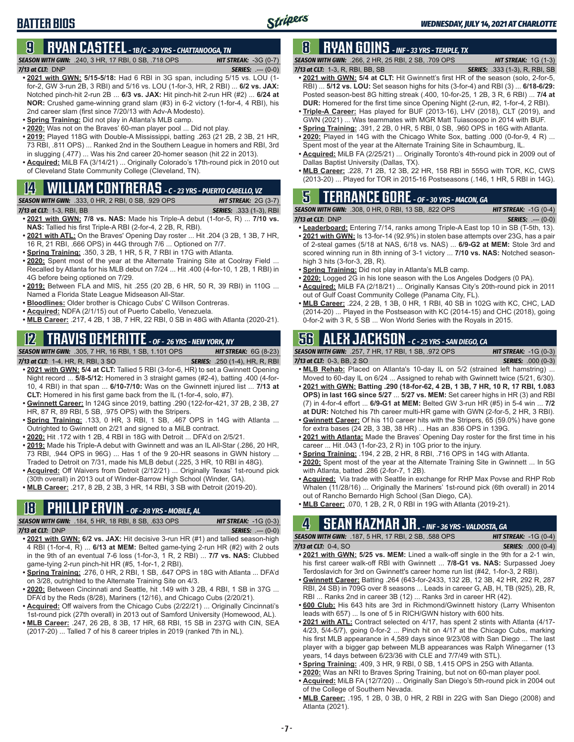# **BATTER BIOS**

# **9 RYAN CASTEEL** *- 1B/C - 30 YRS - CHATTANOOGA, TN*

*SEASON WITH GWN:*.240, 3 HR, 17 RBI, 0 SB, .718 OPS *HIT STREAK:* -3G (0-7) *7/13 at CLT:*DNP *SERIES:* .--- (0-0)

- **• 2021 with GWN: 5/15-5/18:** Had 6 RBI in 3G span, including 5/15 vs. LOU (1 for-2, GW 3-run 2B, 3 RBI) and 5/16 vs. LOU (1-for-3, HR, 2 RBI) ... **6/2 vs. JAX:** Notched pinch-hit 2-run 2B ... **6/3 vs. JAX:** Hit pinch-hit 2-run HR (#2) ... **6/24 at NOR:** Crushed game-winning grand slam (#3) in 6-2 victory (1-for-4, 4 RBI), his 2nd career slam (first since 7/20/13 with Adv-A Modesto).
- **• Spring Training:** Did not play in Atlanta's MLB camp.
- **• 2020:** Was not on the Braves' 60-man player pool ... Did not play.
- **• 2019:** Played 118G with Double-A Mississippi, batting .263 (21 2B, 2 3B, 21 HR, 73 RBI, .811 OPS) ... Ranked 2nd in the Southern League in homers and RBI, 3rd in slugging (.477) ... Was his 2nd career 20-homer season (hit 22 in 2013).
- **• Acquired:** MiLB FA (3/14/21) ... Originally Colorado's 17th-round pick in 2010 out of Cleveland State Community College (Cleveland, TN).

# **14 WILLIAM CONTRERAS** *- C - 23 YRS - PUERTO CABELLO, VZ*

*SEASON WITH GWN:*.333, 0 HR, 2 RBI, 0 SB, .929 OPS *HIT STREAK:* 2G (3-7)

- *7/13 at CLT:*1-3, RBI, BB *SERIES:* .333 (1-3), RBI
- **• 2021 with GWN: 7/8 vs. NAS:** Made his Triple-A debut (1-for-5, R) ... **7/10 vs. NAS:** Tallied his first Triple-A RBI (2-for-4, 2 2B, R, RBI).
- **• 2021 with ATL:** On the Braves' Opening Day roster ... Hit .204 (3 2B, 1 3B, 7 HR, 16 R, 21 RBI, .666 OPS) in 44G through 7/6 ... Optioned on 7/7.
- **• Spring Training:** .350, 3 2B, 1 HR, 5 R, 7 RBI in 17G with Atlanta.
- **• 2020:** Spent most of the year at the Alternate Training Site at Coolray Field ... Recalled by Atlanta for his MLB debut on 7/24 ... Hit .400 (4-for-10, 1 2B, 1 RBI) in 4G before being optioned on 7/29.
- **• 2019:** Between FLA and MIS, hit .255 (20 2B, 6 HR, 50 R, 39 RBI) in 110G ... Named a Florida State League Midseason All-Star.
- **• Bloodlines:** Older brother is Chicago Cubs' C Willson Contreras.
- **• Acquired:** NDFA (2/1/15) out of Puerto Cabello, Venezuela.
- **• MLB Career:** .217, 4 2B, 1 3B, 7 HR, 22 RBI, 0 SB in 48G with Atlanta (2020-21).

# **12 TRAVIS DEMERITTE** *- OF - 26 YRS - NEW YORK, NY*

*SEASON WITH GWN:*.305, 7 HR, 16 RBI, 1 SB, 1.101 OPS *HIT STREAK:* 6G (8-23)

*7/13 at CLT:*1-4, HR, R, RBI, 3 SO *SERIES:* .250 (1-4), HR, R, RBI

- **• 2021 with GWN: 5/4 at CLT:** Tallied 5 RBI (3-for-6, HR) to set a Gwinnett Opening Night record ... **5/8-5/12:** Homered in 3 straight games (#2-4), batting .400 (4-for-10, 4 RBI) in that span ... **6/10-7/10:** Was on the Gwinnett injured list ... **7/13 at CLT:** Homered in his first game back from the IL (1-for-4, solo, #7).
- **• Gwinnett Career:** In 124G since 2019, batting .290 (122-for-421, 37 2B, 2 3B, 27 HR, 87 R, 89 RBI, 5 SB, .975 OPS) with the Stripers.
- **• Spring Training:** .133, 0 HR, 3 RBI, 1 SB, .467 OPS in 14G with Atlanta ... Outrighted to Gwinnett on 2/21 and signed to a MiLB contract.
- **• 2020:** Hit .172 with 1 2B, 4 RBI in 18G with Detroit ... DFA'd on 2/5/21.
- **• 2019:** Made his Triple-A debut with Gwinnett and was an IL All-Star (.286, 20 HR, 73 RBI, .944 OPS in 96G) ... Has 1 of the 9 20-HR seasons in GWN history Traded to Detroit on 7/31, made his MLB debut (.225, 3 HR, 10 RBI in 48G).
- **• Acquired:** Off Waivers from Detroit (2/12/21) ... Originally Texas' 1st-round pick (30th overall) in 2013 out of Winder-Barrow High School (Winder, GA).
- **• MLB Career:** .217, 8 2B, 2 3B, 3 HR, 14 RBI, 3 SB with Detroit (2019-20).

# **18 PHILLIP ERVIN** *- OF - 28 YRS - MOBILE, AL*

*SEASON WITH GWN:*.184, 5 HR, 18 RBI, 8 SB, .633 OPS *HIT STREAK:* -1G (0-3) *7/13 at CLT:*DNP *SERIES:* .--- (0-0)

- **• 2021 with GWN: 6/2 vs. JAX:** Hit decisive 3-run HR (#1) and tallied season-high 4 RBI (1-for-4, R) ... **6/13 at MEM:** Belted game-tying 2-run HR (#2) with 2 outs in the 9th of an eventual 7-6 loss (1-for-3, 1 R, 2 RBI) ... **7/7 vs. NAS:** Clubbed game-tying 2-run pinch-hit HR (#5, 1-for-1, 2 RBI).
- **• Spring Training:** .276, 0 HR, 2 RBI, 1 SB, .647 OPS in 18G with Atlanta ... DFA'd on 3/28, outrighted to the Alternate Training Site on 4/3.
- **• 2020:** Between Cincinnati and Seattle, hit .149 with 3 2B, 4 RBI, 1 SB in 37G ... DFA'd by the Reds (8/28), Mariners (12/16), and Chicago Cubs (2/20/21).
- **• Acquired:** Off waivers from the Chicago Cubs (2/22/21) ... Originally Cincinnati's 1st-round pick (27th overall) in 2013 out of Samford University (Homewood, AL).
- **• MLB Career:** .247, 26 2B, 8 3B, 17 HR, 68 RBI, 15 SB in 237G with CIN, SEA (2017-20) ... Talled 7 of his 8 career triples in 2019 (ranked 7th in NL).

# **8 RYAN GOINS** *- INF - 33 YRS - TEMPLE, TX*

*SEASON WITH GWN:*.266, 2 HR, 25 RBI, 2 SB, .709 OPS *HIT STREAK:* 1G (1-3)

- *7/13 at CLT:*1-3, R, RBI, BB, SB *SERIES:* .333 (1-3), R, RBI, SB **• 2021 with GWN: 5/4 at CLT:** Hit Gwinnett's first HR of the season (solo, 2-for-5, RBI) ... **5/12 vs. LOU:** Set season highs for hits (3-for-4) and RBI (3) ... **6/18-6/29:** Posted season-best 8G hitting streak (.400, 10-for-25, 1 2B, 3 R, 6 RBI) ... **7/4 at DUR:** Homered for the first time since Opening Night (2-run, #2, 1-for-4, 2 RBI).
- **• Triple-A Career:** Has played for BUF (2013-16), LHV (2018), CLT (2019), and GWN (2021) ... Was teammates with MGR Matt Tuiasosopo in 2014 with BUF.
- **• Spring Training:** .391, 2 2B, 0 HR, 5 RBI, 0 SB, .960 OPS in 16G with Atlanta.
- **• 2020:** Played in 14G with the Chicago White Sox, batting .000 (0-for-9, 4 R) ... Spent most of the year at the Alternate Training Site in Schaumburg, IL.
- **• Acquired:** MiLB FA (2/25/21) ... Originally Toronto's 4th-round pick in 2009 out of Dallas Baptist University (Dallas, TX).
- **• MLB Career:** .228, 71 2B, 12 3B, 22 HR, 158 RBI in 555G with TOR, KC, CWS (2013-20) ... Played for TOR in 2015-16 Postseasons (.146, 1 HR, 5 RBI in 14G).

# **5 TERRANCE GORE** *- OF - 30 YRS - MACON, GA*

*SEASON WITH GWN:*.308, 0 HR, 0 RBI, 13 SB, .822 OPS *HIT STREAK:* -1G (0-4)

- *7/13 at CLT:*DNP *SERIES:* .--- (0-0)
- **• Leaderboard:** Entering 7/14, ranks among Triple-A East top 10 in SB (T-5th, 13).
- **• 2021 with GWN:** Is 13-for-14 (92.9%) in stolen base attempts over 23G, has a pair of 2-steal games (5/18 at NAS, 6/18 vs. NAS) ... **6/9-G2 at MEM:** Stole 3rd and scored winning run in 8th inning of 3-1 victory ... **7/10 vs. NAS:** Notched seasonhigh 3 hits (3-for-3, 2B, R).
- **• Spring Training:** Did not play in Atlanta's MLB camp.
- **• 2020:** Logged 2G in his lone season with the Los Angeles Dodgers (0 PA).
- **• Acquired:** MiLB FA (2/18/21) ... Originally Kansas City's 20th-round pick in 2011 out of Gulf Coast Community College (Panama City, FL).
- **• MLB Career:** .224, 2 2B, 1 3B, 0 HR, 1 RBI, 40 SB in 102G with KC, CHC, LAD (2014-20) ... Played in the Postseason with KC (2014-15) and CHC (2018), going 0-for-2 with 3 R, 5 SB ... Won World Series with the Royals in 2015.

## **56 ALEX JACKSON** *- C - 25 YRS - SAN DIEGO, CA*

*SEASON WITH GWN:*.257, 7 HR, 17 RBI, 1 SB, .972 OPS *HIT STREAK:* -1G (0-3)

- *7/13 at CLT:*0-3, BB, 2 SO *SERIES:* .000 (0-3)
- **• MLB Rehab:** Placed on Atlanta's 10-day IL on 5/2 (strained left hamstring) ... Moved to 60-day IL on 6/24 ... Assigned to rehab with Gwinnett twice (5/21, 6/30). **• 2021 with GWN: Batting .290 (18-for-62, 4 2B, 1 3B, 7 HR, 10 R, 17 RBI, 1.083**
- **OPS) in last 16G since 5/27** ... **5/27 vs. MEM:** Set career highs in HR (3) and RBI (7) in 4-for-4 effort ... **6/9-G1 at MEM:** Belted GW 3-run HR (#5) in 5-4 win ... **7/2 at DUR:** Notched his 7th career multi-HR game with GWN (2-for-5, 2 HR, 3 RBI). **• Gwinnett Career:** Of his 110 career hits with the Stripers, 65 (59.0%) have gone
- for extra bases (24 2B, 3 3B, 38 HR) ... Has an .836 OPS in 139G.
- **• 2021 with Atlanta:** Made the Braves' Opening Day roster for the first time in his career ... Hit .043 (1-for-23, 2 R) in 10G prior to the injury.
- **• Spring Training:** .194, 2 2B, 2 HR, 8 RBI, .716 OPS in 14G with Atlanta.
- **• 2020:** Spent most of the year at the Alternate Training Site in Gwinnett ... In 5G with Atlanta, batted .286 (2-for-7, 1 2B).
- **• Acquired:** Via trade with Seattle in exchange for RHP Max Povse and RHP Rob Whalen (11/28/16) ... Originally the Mariners' 1st-round pick (6th overall) in 2014 out of Rancho Bernardo High School (San Diego, CA).
- **• MLB Career:** .070, 1 2B, 2 R, 0 RBI in 19G with Atlanta (2019-21).

# **4 SEAN KAZMAR JR.** *- INF - 36 YRS - VALDOSTA, GA*

*SEASON WITH GWN:*.187, 5 HR, 17 RBI, 2 SB, .588 OPS *HIT STREAK:* -1G (0-4)

- *7/13 at CLT:*0-4, SO *SERIES:* .000 (0-4) **• 2021 with GWN: 5/25 vs. MEM:** Lined a walk-off single in the 9th for a 2-1 win, his first career walk-off RBI with Gwinnett ... **7/8-G1 vs. NAS:** Surpassed Joey Terdoslavich for 3rd on Gwinnett's career home run list (#42, 1-for-3, 2 RBI).
- **• Gwinnett Career:** Batting .264 (643-for-2433, 132 2B, 12 3B, 42 HR, 292 R, 287 RBI, 24 SB) in 709G over 8 seasons ... Leads in career G, AB, H, TB (925), 2B, R, RBI ... Ranks 2nd in career 3B (12) ... Ranks 3rd in career HR (42).
- **• 600 Club:** His 643 hits are 3rd in Richmond/Gwinnett history (Larry Whisenton leads with 657) ... Is one of 5 in RICH/GWN history with 600 hits.
- **• 2021 with ATL:** Contract selected on 4/17, has spent 2 stints with Atlanta (4/17- 4/23, 5/4-5/7), going 0-for-2 ... Pinch hit on 4/17 at the Chicago Cubs, marking his first MLB appearance in 4,589 days since 9/23/08 with San Diego ... The last player with a bigger gap between MLB appearances was Ralph Winegarner (13 years, 14 days between 6/23/36 with CLE and 7/7/49 with STL).
- **• Spring Training:** .409, 3 HR, 9 RBI, 0 SB, 1.415 OPS in 25G with Atlanta.
- **• 2020:** Was an NRI to Braves Spring Training, but not on 60-man player pool.
- **• Acquired:** MiLB FA (12/7/20) ... Originally San Diego's 5th-round pick in 2004 out of the College of Southern Nevada.
- **• MLB Career:** .195, 1 2B, 0 3B, 0 HR, 2 RBI in 22G with San Diego (2008) and Atlanta (2021).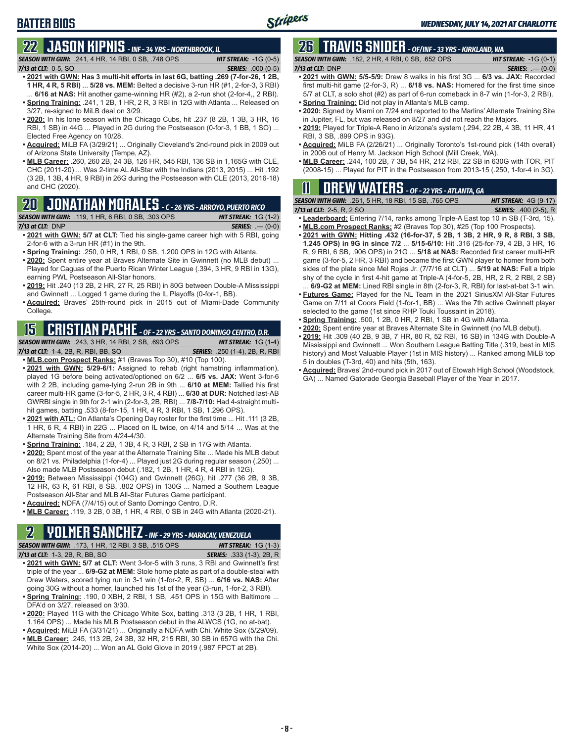# **BATTER BIOS**

### **22 JASON KIPNIS** *- INF - 34 YRS - NORTHBROOK, IL*

*SEASON WITH GWN:*.241, 4 HR, 14 RBI, 0 SB, .748 OPS *HIT STREAK:* -1G (0-5) *7/13 at CLT:*0-5, SO *SERIES:* .000 (0-5)

- **• 2021 with GWN: Has 3 multi-hit efforts in last 6G, batting .269 (7-for-26, 1 2B, 1 HR, 4 R, 5 RBI)** ... **5/28 vs. MEM:** Belted a decisive 3-run HR (#1, 2-for-3, 3 RBI) ... **6/16 at NAS:** Hit another game-winning HR (#2), a 2-run shot (2-for-4,, 2 RBI). **• Spring Training:** .241, 1 2B, 1 HR, 2 R, 3 RBI in 12G with Atlanta ... Released on
- 3/27, re-signed to MiLB deal on 3/29. **• 2020:** In his lone season with the Chicago Cubs, hit .237 (8 2B, 1 3B, 3 HR, 16 RBI, 1 SB) in 44G ... Played in 2G during the Postseason (0-for-3, 1 BB, 1 SO) ... Elected Free Agency on 10/28.
- **• Acquired:** MiLB FA (3/29/21) ... Originally Cleveland's 2nd-round pick in 2009 out of Arizona State University (Tempe, AZ).
- **• MLB Career:** .260, 260 2B, 24 3B, 126 HR, 545 RBI, 136 SB in 1,165G with CLE, CHC (2011-20) ... Was 2-time AL All-Star with the Indians (2013, 2015) ... Hit .192 (3 2B, 1 3B, 4 HR, 9 RBI) in 26G during the Postseason with CLE (2013, 2016-18) and CHC (2020).

### **20 JONATHAN MORALES** *- C - 26 YRS - ARROYO, PUERTO RICO*

*SEASON WITH GWN:*.119, 1 HR, 6 RBI, 0 SB, .303 OPS *HIT STREAK:* 1G (1-2) *7/13 at CLT:*DNP *SERIES:* .--- (0-0)

- **• 2021 with GWN: 5/7 at CLT:** Tied his single-game career high with 5 RBI, going 2-for-6 with a 3-run HR (#1) in the 9th.
- **• Spring Training:** .250, 0 HR, 1 RBI, 0 SB, 1.200 OPS in 12G with Atlanta.
- **• 2020:** Spent entire year at Braves Alternate Site in Gwinnett (no MLB debut) ... Played for Caguas of the Puerto Rican Winter League (.394, 3 HR, 9 RBI in 13G), earning PWL Postseason All-Star honors.
- **• 2019:** Hit .240 (13 2B, 2 HR, 27 R, 25 RBI) in 80G between Double-A Mississippi and Gwinnett ... Logged 1 game during the IL Playoffs (0-for-1, BB).
- **• Acquired:** Braves' 25th-round pick in 2015 out of Miami-Dade Community College.

# **15 CRISTIAN PACHE** *- OF - 22 YRS - SANTO DOMINGO CENTRO, D.R.*

*SEASON WITH GWN:*.243, 3 HR, 14 RBI, 2 SB, .693 OPS *HIT STREAK:* 1G (1-4)

- 
- *7/13 at CLT:* 1-4, 2B, R, RBI, BB, SO *SERIES:* .250 (1-4), 2B, R, RBI **• MLB.com Prospect Ranks:** #1 (Braves Top 30), #10 (Top 100).
- **• 2021 with GWN: 5/29-6/1:** Assigned to rehab (right hamstring inflammation), played 1G before being activated/optioned on 6/2 ... **6/5 vs. JAX:** Went 3-for-6 with 2 2B, including game-tying 2-run 2B in 9th ... **6/10 at MEM:** Tallied his first career multi-HR game (3-for-5, 2 HR, 3 R, 4 RBI) ... **6/30 at DUR:** Notched last-AB GWRBI single in 9th for 2-1 win (2-for-3, 2B, RBI) ... **7/8-7/10:** Had 4-straight multihit games, batting .533 (8-for-15, 1 HR, 4 R, 3 RBI, 1 SB, 1.296 OPS).
- **• 2021 with ATL:** On Atlanta's Opening Day roster for the first time ... Hit .111 (3 2B, 1 HR, 6 R, 4 RBI) in 22G ... Placed on IL twice, on 4/14 and 5/14 ... Was at the Alternate Training Site from 4/24-4/30.
- **• Spring Training:** .184, 2 2B, 1 3B, 4 R, 3 RBI, 2 SB in 17G with Atlanta.
- **• 2020:** Spent most of the year at the Alternate Training Site ... Made his MLB debut on 8/21 vs. Philadelphia (1-for-4) ... Played just 2G during regular season (.250) ... Also made MLB Postseason debut (.182, 1 2B, 1 HR, 4 R, 4 RBI in 12G).
- **• 2019:** Between Mississippi (104G) and Gwinnett (26G), hit .277 (36 2B, 9 3B, 12 HR, 63 R, 61 RBI, 8 SB, .802 OPS) in 130G ... Named a Southern League Postseason All-Star and MLB All-Star Futures Game participant.
- **• Acquired:** NDFA (7/4/15) out of Santo Domingo Centro, D.R.
- **• MLB Career:** .119, 3 2B, 0 3B, 1 HR, 4 RBI, 0 SB in 24G with Atlanta (2020-21).

# **2 YOLMER SANCHEZ** *- INF - 29 YRS - MARACAY, VENEZUELA*

| <b>SEASON WITH GWN:</b> .173, 1 HR, 12 RBI, 3 SB, .515 OPS | <b>HIT STREAK:</b> $1G(1-3)$  |
|------------------------------------------------------------|-------------------------------|
| $7/12$ of $CIT_1$ , $1, 2, 2R$ $D$ $RP$ , $C \cap$         | <b>CEDIEC.</b> 222 (1.2) OR D |

- *7/13 at CLT:*1-3, 2B, R, BB, SO *SERIES:* .333 (1-3), 2B, R **• 2021 with GWN: 5/7 at CLT:** Went 3-for-5 with 3 runs, 3 RBI and Gwinnett's first triple of the year ... **6/9-G2 at MEM:** Stole home plate as part of a double-steal with Drew Waters, scored tying run in 3-1 win (1-for-2, R, SB) ... **6/16 vs. NAS:** After going 30G without a homer, launched his 1st of the year (3-run, 1-for-2, 3 RBI).
- **• Spring Training:** .190, 0 XBH, 2 RBI, 1 SB, .451 OPS in 15G with Baltimore ... DFA'd on 3/27, released on 3/30.
- **• 2020:** Played 11G with the Chicago White Sox, batting .313 (3 2B, 1 HR, 1 RBI, 1.164 OPS) ... Made his MLB Postseason debut in the ALWCS (1G, no at-bat).
- **• Acquired:** MiLB FA (3/31/21) ... Originally a NDFA with Chi. White Sox (5/29/09). **• MLB Career:** .245, 113 2B, 24 3B, 32 HR, 215 RBI, 30 SB in 657G with the Chi. White Sox (2014-20) ... Won an AL Gold Glove in 2019 (.987 FPCT at 2B).

# **26 TRAVIS SNIDER** *- OF/INF - 33 YRS - KIRKLAND, WA*

*SEASON WITH GWN:*.182, 2 HR, 4 RBI, 0 SB, .652 OPS *HIT STREAK:* -1G (0-1) *7/13 at CLT:* DNP *SERIES:* .--- (0-0)

- **• 2021 with GWN: 5/5-5/9:** Drew 8 walks in his first 3G ... **6/3 vs. JAX:** Recorded first multi-hit game (2-for-3, R) ... **6/18 vs. NAS:** Homered for the first time since 5/7 at CLT, a solo shot (#2) as part of 6-run comeback in 8-7 win (1-for-3, 2 RBI).
- **• Spring Training:** Did not play in Atlanta's MLB camp.
- **• 2020:** Signed by Miami on 7/24 and reported to the Marlins' Alternate Training Site in Jupiter, FL, but was released on 8/27 and did not reach the Majors.
- **• 2019:** Played for Triple-A Reno in Arizona's system (.294, 22 2B, 4 3B, 11 HR, 41 RBI, 3 SB, .899 OPS in 93G).
- **• Acquired:** MiLB FA (2/26/21) ... Originally Toronto's 1st-round pick (14th overall) in 2006 out of Henry M. Jackson High School (Mill Creek, WA).
- **• MLB Career:** .244, 100 2B, 7 3B, 54 HR, 212 RBI, 22 SB in 630G with TOR, PIT (2008-15) ... Played for PIT in the Postseason from 2013-15 (.250, 1-for-4 in 3G).

## **11 Drew WATERS** *- OF - 22 YRS - ATLANTA, GA*

| <b>SEASON WITH GWN: .261. 5 HR. 18 RBI. 15 SB. .765 OPS</b> | <b>HIT STREAK:</b> $4G(9-17)$  |
|-------------------------------------------------------------|--------------------------------|
| 7/13 at CLT: $2-5$ , R, $2$ SO                              | <b>SERIES:</b> $.400(2-5)$ , R |

- **• Leaderboard:** Entering 7/14, ranks among Triple-A East top 10 in SB (T-3rd, 15).
- **• MLB.com Prospect Ranks:** #2 (Braves Top 30), #25 (Top 100 Prospects).
- **• 2021 with GWN: Hitting .432 (16-for-37, 5 2B, 1 3B, 2 HR, 9 R, 8 RBI, 3 SB, 1.245 OPS) in 9G in since 7/2** ... **5/15-6/10:** Hit .316 (25-for-79, 4 2B, 3 HR, 16 R, 9 RBI, 6 SB, .906 OPS) in 21G ... **5/18 at NAS:** Recorded first career multi-HR game (3-for-5, 2 HR, 3 RBI) and became the first GWN player to homer from both sides of the plate since Mel Rojas Jr. (7/7/16 at CLT) ... **5/19 at NAS:** Fell a triple shy of the cycle in first 4-hit game at Triple-A (4-for-5, 2B, HR, 2 R, 2 RBI, 2 SB) 6/9-G2 at MEM: Lined RBI single in 8th (2-for-3, R, RBI) for last-at-bat 3-1 win.
- **• Futures Game:** Played for the NL Team in the 2021 SiriusXM All-Star Futures Game on 7/11 at Coors Field (1-for-1, BB) ... Was the 7th active Gwinnett player selected to the game (1st since RHP Touki Toussaint in 2018).
- **• Spring Training:** .500, 1 2B, 0 HR, 2 RBI, 1 SB in 4G with Atlanta.
- **• 2020:** Spent entire year at Braves Alternate Site in Gwinnett (no MLB debut).
- **• 2019:** Hit .309 (40 2B, 9 3B, 7 HR, 80 R, 52 RBI, 16 SB) in 134G with Double-A Mississippi and Gwinnett ... Won Southern League Batting Title (.319, best in MIS history) and Most Valuable Player (1st in MIS history) ... Ranked among MiLB top 5 in doubles (T-3rd, 40) and hits (5th, 163).
- **• Acquired:** Braves' 2nd-round pick in 2017 out of Etowah High School (Woodstock, GA) ... Named Gatorade Georgia Baseball Player of the Year in 2017.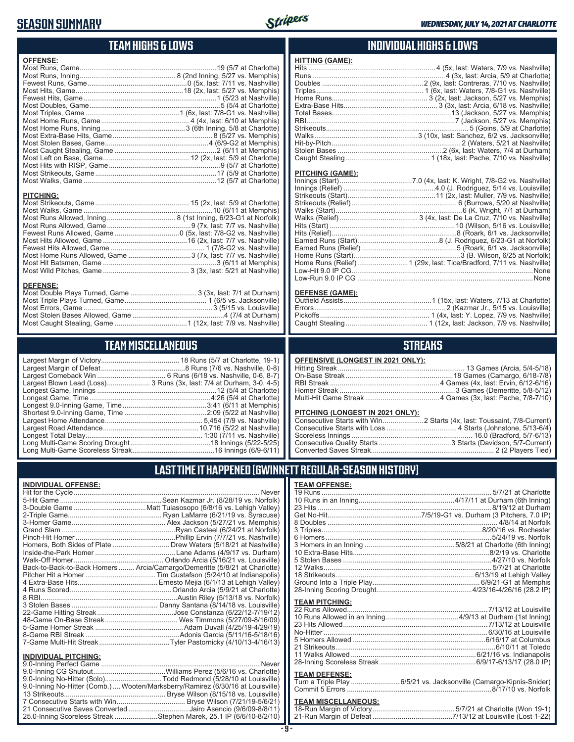## **SEASON SUMMARY**

**DEFENSE:**



### **TEAM HIGHS & LOWS**

| <b>OFFENSE:</b>  |  |
|------------------|--|
|                  |  |
|                  |  |
|                  |  |
|                  |  |
|                  |  |
|                  |  |
|                  |  |
|                  |  |
|                  |  |
|                  |  |
|                  |  |
|                  |  |
|                  |  |
|                  |  |
|                  |  |
|                  |  |
| <b>PITCHING:</b> |  |
|                  |  |
|                  |  |
|                  |  |
|                  |  |
|                  |  |
|                  |  |
|                  |  |

Most Home Runs Allowed, Game ................................3 (7x, last: 7/7 vs. Nashville) Most Hit Batsmen, Game ..........................................................3 (6/11 at Memphis) Most Wild Pitches, Game ............................................ 3 (3x, last: 5/21 at Nashville)

Most Double Plays Turned, Game .................................. 3 (3x, last: 7/1 at Durham) Most Triple Plays Turned, Game .......................................... 1 (6/5 vs. Jacksonville) Most Errors, Game ..................................................................3 (5/15 vs. Louisville) Most Stolen Bases Allowed, Game ...............................................4 (7/4 at Durham) Most Caught Stealing, Game .....................................1 (12x, last: 7/9 vs. Nashville)

**TEAM MISCELLANEOUS** Largest Margin of Victory........................................ 18 Runs (5/7 at Charlotte, 19-1) Largest Margin of Defeat ...........................................8 Runs (7/6 vs. Nashville, 0-8) Largest Comeback Win ................................... 6 Runs (6/18 vs. Nashville, 0-6, 8-7) Largest Blown Lead (Loss)...................... 3 Runs (3x, last: 7/4 at Durham, 3-0, 4-5) Longest Game, Innings .............................................................12 (5/4 at Charlotte) Longest Game, Time ..............................................................4:26 (5/4 at Charlotte) Longest 9.0-Inning Game, Time ...........................................3:41 (6/11 at Memphis) Shortest 9.0-Inning Game, Time ..........................................2:09 (5/22 at Nashville) Largest Home Attendance .................................................. 5,454 (7/9 vs. Nashville) Largest Road Attendance .................................................10,716 (5/22 at Nashville) Longest Total Delay............................................................ 1:30 (7/11 vs. Nashville) Long Multi-Game Scoring Drought .........................................18 Innings (5/22-5/25) Long Multi-Game Scoreless Streak ..........................................16 Innings (6/9-6/11)

#### **INDIVIDUAL HIGHS & LOWS**

| <u>HITTING (GAME):</u> |  |
|------------------------|--|
|                        |  |
|                        |  |
|                        |  |
|                        |  |
|                        |  |
|                        |  |
|                        |  |
|                        |  |
|                        |  |
|                        |  |
|                        |  |
|                        |  |
|                        |  |
|                        |  |
|                        |  |

#### **PITCHING (GAME):**

| Home Runs (Relief)  1 (29x, last: Tice/Bradford, 7/11 vs. Nashville) |
|----------------------------------------------------------------------|
|                                                                      |
|                                                                      |
|                                                                      |

#### **DEFENSE (GAME):**

#### **STREAKS**

| OFFENSIVE (LONGEST IN 2021 ONLY): |
|-----------------------------------|
|-----------------------------------|

#### **PITCHING (LONGEST IN 2021 ONLY):**

### **LAST TIME IT HAPPENED (GWINNETT REGULAR-SEASON HISTORY)**

| <b>INDIVIDUAL OFFENSE:</b>  |                                                                            |
|-----------------------------|----------------------------------------------------------------------------|
|                             |                                                                            |
|                             |                                                                            |
|                             |                                                                            |
|                             |                                                                            |
|                             |                                                                            |
|                             |                                                                            |
|                             |                                                                            |
|                             | Homers, Both Sides of Plate  Drew Waters (5/18/21 at Nashville)            |
|                             |                                                                            |
|                             |                                                                            |
|                             | Back-to-Back-to-Back Homers  Arcia/Camargo/Demeritte (5/8/21 at Charlotte) |
|                             |                                                                            |
|                             |                                                                            |
|                             |                                                                            |
|                             |                                                                            |
|                             |                                                                            |
|                             |                                                                            |
|                             |                                                                            |
|                             |                                                                            |
|                             |                                                                            |
|                             |                                                                            |
| <b>INDIVIDUAL PITCHING:</b> |                                                                            |

| 111011100111101111101                                                          |  |
|--------------------------------------------------------------------------------|--|
|                                                                                |  |
|                                                                                |  |
| 9.0-Inning No-Hitter (Solo)Todd Redmond (5/28/10 at Louisville)                |  |
| 9.0-Inning No-Hitter (Comb.) Wooten/Marksberry/Ramirez (6/30/16 at Louisville) |  |
|                                                                                |  |
|                                                                                |  |
| 21 Consecutive Saves Converted Jairo Asencio (9/6/09-8/8/11)                   |  |
| 25.0-Inning Scoreless Streak Stephen Marek, 25.1 IP (6/6/10-8/2/10)            |  |
|                                                                                |  |

#### **- 9 -**

| <b>TEAM OFFENSE:</b>  |  |
|-----------------------|--|
|                       |  |
|                       |  |
|                       |  |
|                       |  |
|                       |  |
|                       |  |
|                       |  |
|                       |  |
|                       |  |
|                       |  |
|                       |  |
|                       |  |
|                       |  |
|                       |  |
| <b>TEAM PITCHING:</b> |  |
|                       |  |
|                       |  |
|                       |  |

| 5 Homers Allowed ………………………………………………………………6/16/17 at Columbus |
|--------------------------------------------------------------|
|                                                              |
|                                                              |
|                                                              |
|                                                              |

#### **TEAM DEFENSE:**

| Turn a Triple Play 6/5/21 vs. Jacksonville (Camargo-Kipnis-Snider) |
|--------------------------------------------------------------------|
|                                                                    |

# **TEAM MISCELLANEOUS:**

| 21-Run Margin of Defeat…………………………………7/13/12 at Louisville (Lost 1-22) |
|-----------------------------------------------------------------------|